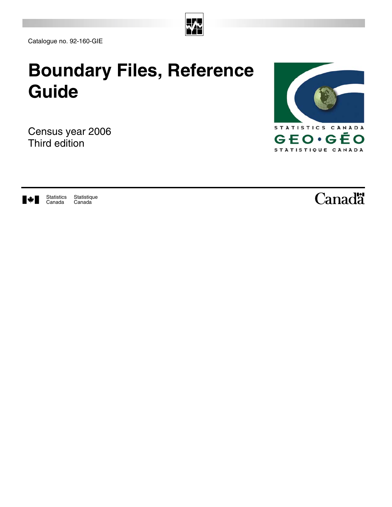

Catalogue no. 92-160-GIE

# **Boundary Files, Reference Guide**

Census year 2006 Third edition





**Statistique** Canada Statistics Canada

Canadä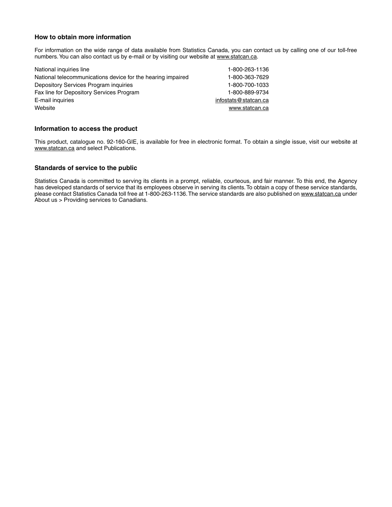#### **How to obtain more information**

For information on the wide range of data available from Statistics Canada, you can contact us by calling one of our toll-free numbers. You can also contact us by e-mail or by visiting our website at www.statcan.ca.

| National inquiries line                                     | 1-800-263-1136       |
|-------------------------------------------------------------|----------------------|
| National telecommunications device for the hearing impaired | 1-800-363-7629       |
| Depository Services Program inquiries                       | 1-800-700-1033       |
| Fax line for Depository Services Program                    | 1-800-889-9734       |
| E-mail inquiries                                            | infostats@statcan.ca |
| Website                                                     | www.statcan.ca       |
|                                                             |                      |

#### **Information to access the product**

This product, catalogue no. 92-160-GIE, is available for free in electronic format. To obtain a single issue, visit our website at www.statcan.ca and select Publications.

#### **Standards of service to the public**

Statistics Canada is committed to serving its clients in a prompt, reliable, courteous, and fair manner. To this end, the Agency has developed standards of service that its employees observe in serving its clients. To obtain a copy of these service standards, please contact Statistics Canada toll free at 1-800-263-1136. The service standards are also published on www.statcan.ca under About us > Providing services to Canadians.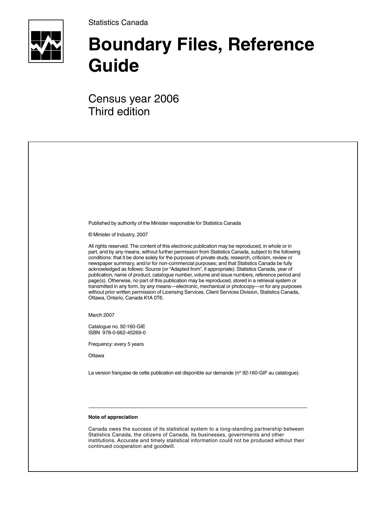Statistics Canada



# **Boundary Files, Reference Guide**

Census year 2006 Third edition

| Published by authority of the Minister responsible for Statistics Canada                                                                                                                                                                                                                                                                                                                                                                                                                                                                                                                                                                                                                                                                                                                                                                                                                                                                                               |
|------------------------------------------------------------------------------------------------------------------------------------------------------------------------------------------------------------------------------------------------------------------------------------------------------------------------------------------------------------------------------------------------------------------------------------------------------------------------------------------------------------------------------------------------------------------------------------------------------------------------------------------------------------------------------------------------------------------------------------------------------------------------------------------------------------------------------------------------------------------------------------------------------------------------------------------------------------------------|
| © Minister of Industry, 2007                                                                                                                                                                                                                                                                                                                                                                                                                                                                                                                                                                                                                                                                                                                                                                                                                                                                                                                                           |
| All rights reserved. The content of this electronic publication may be reproduced, in whole or in<br>part, and by any means, without further permission from Statistics Canada, subject to the following<br>conditions: that it be done solely for the purposes of private study, research, criticism, review or<br>newspaper summary, and/or for non-commercial purposes; and that Statistics Canada be fully<br>acknowledged as follows: Source (or "Adapted from", if appropriate): Statistics Canada, year of<br>publication, name of product, catalogue number, volume and issue numbers, reference period and<br>page(s). Otherwise, no part of this publication may be reproduced, stored in a retrieval system or<br>transmitted in any form, by any means—electronic, mechanical or photocopy—or for any purposes<br>without prior written permission of Licensing Services, Client Services Division, Statistics Canada,<br>Ottawa, Ontario, Canada K1A 0T6. |
| March 2007                                                                                                                                                                                                                                                                                                                                                                                                                                                                                                                                                                                                                                                                                                                                                                                                                                                                                                                                                             |
| Catalogue no. 92-160-GIE<br>ISBN 978-0-662-45269-0                                                                                                                                                                                                                                                                                                                                                                                                                                                                                                                                                                                                                                                                                                                                                                                                                                                                                                                     |
| Frequency: every 5 years                                                                                                                                                                                                                                                                                                                                                                                                                                                                                                                                                                                                                                                                                                                                                                                                                                                                                                                                               |
| Ottawa                                                                                                                                                                                                                                                                                                                                                                                                                                                                                                                                                                                                                                                                                                                                                                                                                                                                                                                                                                 |
| La version française de cette publication est disponible sur demande (nº 92-160-GIF au catalogue).                                                                                                                                                                                                                                                                                                                                                                                                                                                                                                                                                                                                                                                                                                                                                                                                                                                                     |
|                                                                                                                                                                                                                                                                                                                                                                                                                                                                                                                                                                                                                                                                                                                                                                                                                                                                                                                                                                        |
| Note of appreciation                                                                                                                                                                                                                                                                                                                                                                                                                                                                                                                                                                                                                                                                                                                                                                                                                                                                                                                                                   |
| Canada owes the success of its statistical system to a long-standing partnership between<br>Statistics Canada, the citizens of Canada, its businesses, governments and other<br>institutions. Accurate and timely statistical information could not be produced without their<br>continued cooperation and goodwill.                                                                                                                                                                                                                                                                                                                                                                                                                                                                                                                                                                                                                                                   |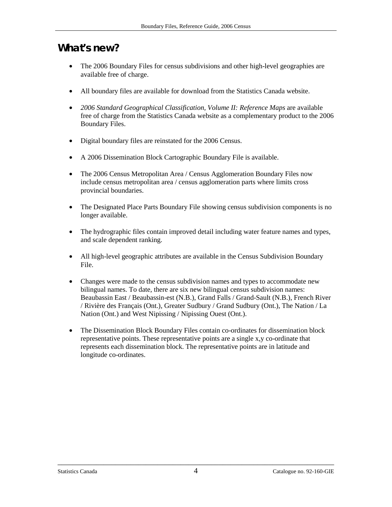# <span id="page-3-0"></span>**What's new?**

- The 2006 Boundary Files for census subdivisions and other high-level geographies are available free of charge.
- All boundary files are available for download from the Statistics Canada website.
- *2006 Standard Geographical Classification, Volume II: Reference Maps* are available free of charge from the Statistics Canada website as a complementary product to the 2006 Boundary Files.
- Digital boundary files are reinstated for the 2006 Census.
- A 2006 Dissemination Block Cartographic Boundary File is available.
- The 2006 Census Metropolitan Area / Census Agglomeration Boundary Files now include census metropolitan area / census agglomeration parts where limits cross provincial boundaries.
- The Designated Place Parts Boundary File showing census subdivision components is no longer available.
- The hydrographic files contain improved detail including water feature names and types, and scale dependent ranking.
- All high-level geographic attributes are available in the Census Subdivision Boundary File.
- Changes were made to the census subdivision names and types to accommodate new bilingual names. To date, there are six new bilingual census subdivision names: Beaubassin East / Beaubassin-est (N.B.), Grand Falls / Grand-Sault (N.B.), French River / Rivière des Français (Ont.), Greater Sudbury / Grand Sudbury (Ont.), The Nation / La Nation (Ont.) and West Nipissing / Nipissing Ouest (Ont.).
- The Dissemination Block Boundary Files contain co-ordinates for dissemination block representative points. These representative points are a single x,y co-ordinate that represents each dissemination block. The representative points are in latitude and longitude co-ordinates.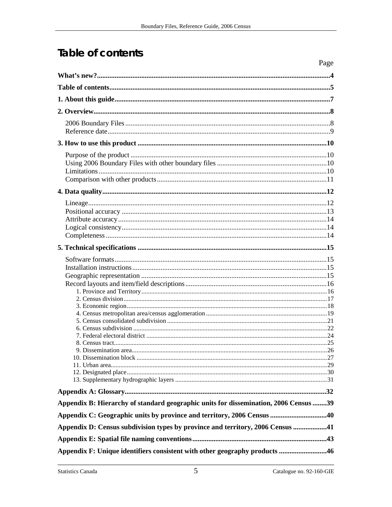# **Table of contents**

|                                                                                      | Page |
|--------------------------------------------------------------------------------------|------|
|                                                                                      |      |
|                                                                                      |      |
|                                                                                      |      |
|                                                                                      |      |
|                                                                                      |      |
|                                                                                      |      |
|                                                                                      |      |
|                                                                                      |      |
|                                                                                      |      |
|                                                                                      |      |
|                                                                                      |      |
|                                                                                      |      |
|                                                                                      |      |
|                                                                                      |      |
|                                                                                      |      |
|                                                                                      |      |
|                                                                                      |      |
|                                                                                      |      |
|                                                                                      |      |
|                                                                                      |      |
|                                                                                      |      |
|                                                                                      |      |
|                                                                                      |      |
|                                                                                      |      |
|                                                                                      |      |
|                                                                                      |      |
|                                                                                      |      |
|                                                                                      |      |
|                                                                                      |      |
|                                                                                      |      |
|                                                                                      |      |
|                                                                                      |      |
|                                                                                      |      |
|                                                                                      |      |
| Appendix B: Hierarchy of standard geographic units for dissemination, 2006 Census 39 |      |
| Appendix C: Geographic units by province and territory, 2006 Census 40               |      |
| Appendix D: Census subdivision types by province and territory, 2006 Census 41       |      |
|                                                                                      |      |
| Appendix F: Unique identifiers consistent with other geography products 46           |      |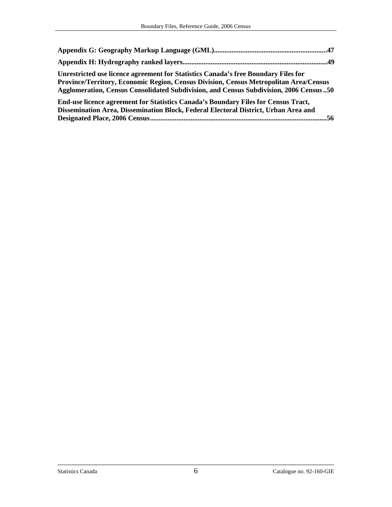| Unrestricted use licence agreement for Statistics Canada's free Boundary Files for<br>Province/Territory, Economic Region, Census Division, Census Metropolitan Area/Census<br>Agglomeration, Census Consolidated Subdivision, and Census Subdivision, 2006 Census 50 |  |
|-----------------------------------------------------------------------------------------------------------------------------------------------------------------------------------------------------------------------------------------------------------------------|--|
| End-use licence agreement for Statistics Canada's Boundary Files for Census Tract,<br>Dissemination Area, Dissemination Block, Federal Electoral District, Urban Area and                                                                                             |  |

**Designated Place, 2006 Census....................................................................................................56**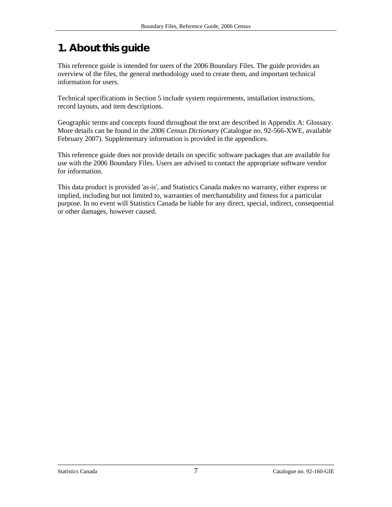# <span id="page-6-0"></span>**1. About this guide**

This reference guide is intended for users of the 2006 Boundary Files. The guide provides an overview of the files, the general methodology used to create them, and important technical information for users.

Technical specifications in Section 5 include system requirements, installation instructions, record layouts, and item descriptions.

Geographic terms and concepts found throughout the text are described in Appendix A: Glossary. More details can be found in the *2006 Census Dictionary* (Catalogue no. 92-566-XWE, available February 2007). Supplementary information is provided in the appendices.

This reference guide does not provide details on specific software packages that are available for use with the 2006 Boundary Files. Users are advised to contact the appropriate software vendor for information.

This data product is provided 'as-is', and Statistics Canada makes no warranty, either express or implied, including but not limited to, warranties of merchantability and fitness for a particular purpose. In no event will Statistics Canada be liable for any direct, special, indirect, consequential or other damages, however caused.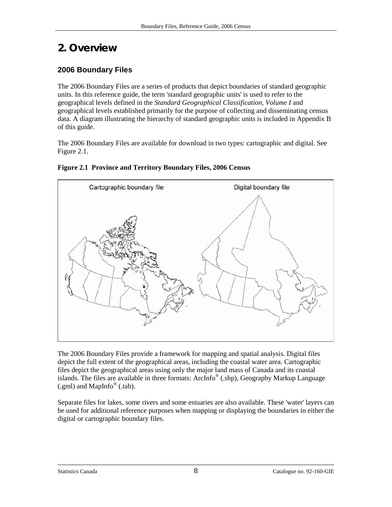# <span id="page-7-0"></span>**2. Overview**

# **2006 Boundary Files**

The 2006 Boundary Files are a series of products that depict boundaries of standard geographic units. In this reference guide, the term 'standard geographic units' is used to refer to the geographical levels defined in the *Standard Geographical Classification, Volume I* and geographical levels established primarily for the purpose of collecting and disseminating census data. A diagram illustrating the hierarchy of standard geographic units is included in Appendix B of this guide.

The 2006 Boundary Files are available for download in two types: cartographic and digital. See Figure 2.1.

### **Figure 2.1 Province and Territory Boundary Files, 2006 Census**



The 2006 Boundary Files provide a framework for mapping and spatial analysis. Digital files depict the full extent of the geographical areas, including the coastal water area. Cartographic files depict the geographical areas using only the major land mass of Canada and its coastal islands. The files are available in three formats: ArcInfo® (.shp), Geography Markup Language  $(gml)$  and MapInfo<sup>®</sup> (.tab).

Separate files for lakes, some rivers and some estuaries are also available. These 'water' layers can be used for additional reference purposes when mapping or displaying the boundaries in either the digital or cartographic boundary files.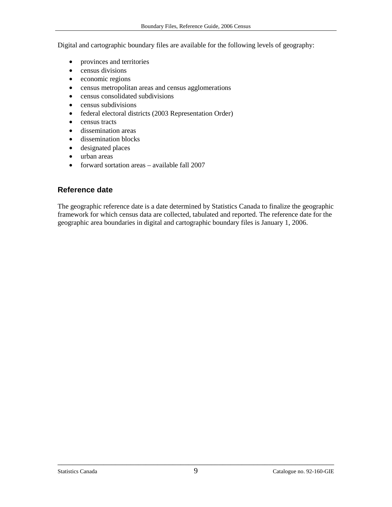<span id="page-8-0"></span>Digital and cartographic boundary files are available for the following levels of geography:

- provinces and territories
- census divisions
- economic regions
- census metropolitan areas and census agglomerations
- census consolidated subdivisions
- census subdivisions
- federal electoral districts (2003 Representation Order)
- census tracts
- dissemination areas
- dissemination blocks
- designated places
- urban areas
- forward sortation areas available fall 2007

# **Reference date**

The geographic reference date is a date determined by Statistics Canada to finalize the geographic framework for which census data are collected, tabulated and reported. The reference date for the geographic area boundaries in digital and cartographic boundary files is January 1, 2006.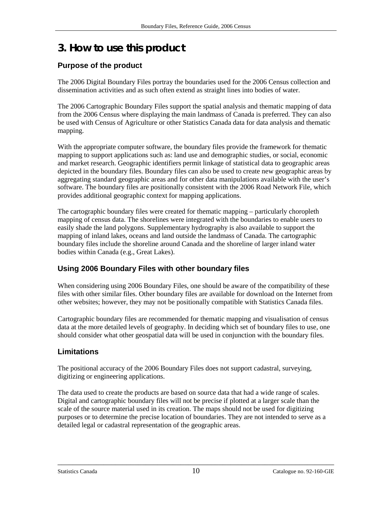# <span id="page-9-0"></span>**3. How to use this product**

# **Purpose of the product**

The 2006 Digital Boundary Files portray the boundaries used for the 2006 Census collection and dissemination activities and as such often extend as straight lines into bodies of water.

The 2006 Cartographic Boundary Files support the spatial analysis and thematic mapping of data from the 2006 Census where displaying the main landmass of Canada is preferred. They can also be used with Census of Agriculture or other Statistics Canada data for data analysis and thematic mapping.

With the appropriate computer software, the boundary files provide the framework for thematic mapping to support applications such as: land use and demographic studies, or social, economic and market research. Geographic identifiers permit linkage of statistical data to geographic areas depicted in the boundary files. Boundary files can also be used to create new geographic areas by aggregating standard geographic areas and for other data manipulations available with the user's software. The boundary files are positionally consistent with the 2006 Road Network File, which provides additional geographic context for mapping applications.

The cartographic boundary files were created for thematic mapping – particularly choropleth mapping of census data. The shorelines were integrated with the boundaries to enable users to easily shade the land polygons. Supplementary hydrography is also available to support the mapping of inland lakes, oceans and land outside the landmass of Canada. The cartographic boundary files include the shoreline around Canada and the shoreline of larger inland water bodies within Canada (e.g., Great Lakes).

# **Using 2006 Boundary Files with other boundary files**

When considering using 2006 Boundary Files, one should be aware of the compatibility of these files with other similar files. Other boundary files are available for download on the Internet from other websites; however, they may not be positionally compatible with Statistics Canada files.

Cartographic boundary files are recommended for thematic mapping and visualisation of census data at the more detailed levels of geography. In deciding which set of boundary files to use, one should consider what other geospatial data will be used in conjunction with the boundary files*.* 

# **Limitations**

The positional accuracy of the 2006 Boundary Files does not support cadastral, surveying, digitizing or engineering applications.

The data used to create the products are based on source data that had a wide range of scales. Digital and cartographic boundary files will not be precise if plotted at a larger scale than the scale of the source material used in its creation. The maps should not be used for digitizing purposes or to determine the precise location of boundaries. They are not intended to serve as a detailed legal or cadastral representation of the geographic areas.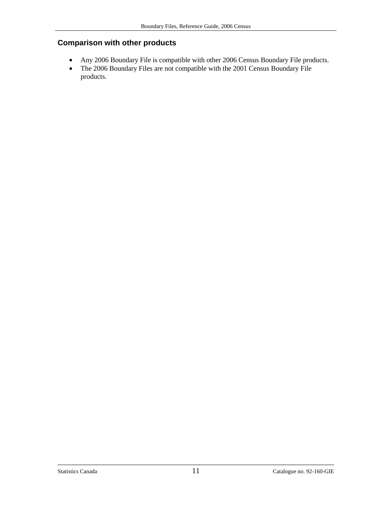# <span id="page-10-0"></span>**Comparison with other products**

- Any 2006 Boundary File is compatible with other 2006 Census Boundary File products.
- The 2006 Boundary Files are not compatible with the 2001 Census Boundary File products.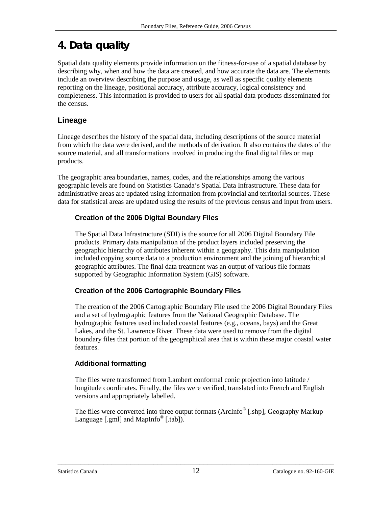# <span id="page-11-0"></span>**4. Data quality**

Spatial data quality elements provide information on the fitness-for-use of a spatial database by describing why, when and how the data are created, and how accurate the data are. The elements include an overview describing the purpose and usage, as well as specific quality elements reporting on the lineage, positional accuracy, attribute accuracy, logical consistency and completeness. This information is provided to users for all spatial data products disseminated for the census.

# **Lineage**

Lineage describes the history of the spatial data, including descriptions of the source material from which the data were derived, and the methods of derivation. It also contains the dates of the source material, and all transformations involved in producing the final digital files or map products.

The geographic area boundaries, names, codes, and the relationships among the various geographic levels are found on Statistics Canada's Spatial Data Infrastructure. These data for administrative areas are updated using information from provincial and territorial sources. These data for statistical areas are updated using the results of the previous census and input from users.

# **Creation of the 2006 Digital Boundary Files**

The Spatial Data Infrastructure (SDI) is the source for all 2006 Digital Boundary File products. Primary data manipulation of the product layers included preserving the geographic hierarchy of attributes inherent within a geography. This data manipulation included copying source data to a production environment and the joining of hierarchical geographic attributes. The final data treatment was an output of various file formats supported by Geographic Information System (GIS) software.

# **Creation of the 2006 Cartographic Boundary Files**

The creation of the 2006 Cartographic Boundary File used the 2006 Digital Boundary Files and a set of hydrographic features from the National Geographic Database. The hydrographic features used included coastal features (e.g., oceans, bays) and the Great Lakes, and the St. Lawrence River. These data were used to remove from the digital boundary files that portion of the geographical area that is within these major coastal water features.

# **Additional formatting**

The files were transformed from Lambert conformal conic projection into latitude / longitude coordinates. Finally, the files were verified, translated into French and English versions and appropriately labelled.

The files were converted into three output formats (ArcInfo<sup>®</sup> [.shp], Geography Markup Language [.gml] and MapInfo<sup>®</sup> [.tab]).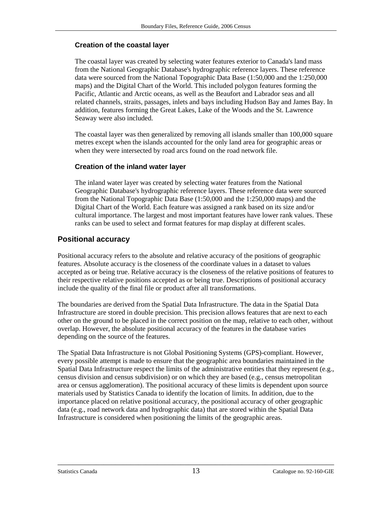#### <span id="page-12-0"></span>**Creation of the coastal layer**

The coastal layer was created by selecting water features exterior to Canada's land mass from the National Geographic Database's hydrographic reference layers. These reference data were sourced from the National Topographic Data Base (1:50,000 and the 1:250,000 maps) and the Digital Chart of the World. This included polygon features forming the Pacific, Atlantic and Arctic oceans, as well as the Beaufort and Labrador seas and all related channels, straits, passages, inlets and bays including Hudson Bay and James Bay. In addition, features forming the Great Lakes, Lake of the Woods and the St. Lawrence Seaway were also included.

The coastal layer was then generalized by removing all islands smaller than 100,000 square metres except when the islands accounted for the only land area for geographic areas or when they were intersected by road arcs found on the road network file.

#### **Creation of the inland water layer**

The inland water layer was created by selecting water features from the National Geographic Database's hydrographic reference layers. These reference data were sourced from the National Topographic Data Base (1:50,000 and the 1:250,000 maps) and the Digital Chart of the World. Each feature was assigned a rank based on its size and/or cultural importance. The largest and most important features have lower rank values. These ranks can be used to select and format features for map display at different scales.

### **Positional accuracy**

Positional accuracy refers to the absolute and relative accuracy of the positions of geographic features. Absolute accuracy is the closeness of the coordinate values in a dataset to values accepted as or being true. Relative accuracy is the closeness of the relative positions of features to their respective relative positions accepted as or being true. Descriptions of positional accuracy include the quality of the final file or product after all transformations.

The boundaries are derived from the Spatial Data Infrastructure. The data in the Spatial Data Infrastructure are stored in double precision. This precision allows features that are next to each other on the ground to be placed in the correct position on the map, relative to each other, without overlap. However, the absolute positional accuracy of the features in the database varies depending on the source of the features.

The Spatial Data Infrastructure is not Global Positioning Systems (GPS)-compliant. However, every possible attempt is made to ensure that the geographic area boundaries maintained in the Spatial Data Infrastructure respect the limits of the administrative entities that they represent (e.g., census division and census subdivision) or on which they are based (e.g., census metropolitan area or census agglomeration). The positional accuracy of these limits is dependent upon source materials used by Statistics Canada to identify the location of limits. In addition, due to the importance placed on relative positional accuracy, the positional accuracy of other geographic data (e.g., road network data and hydrographic data) that are stored within the Spatial Data Infrastructure is considered when positioning the limits of the geographic areas.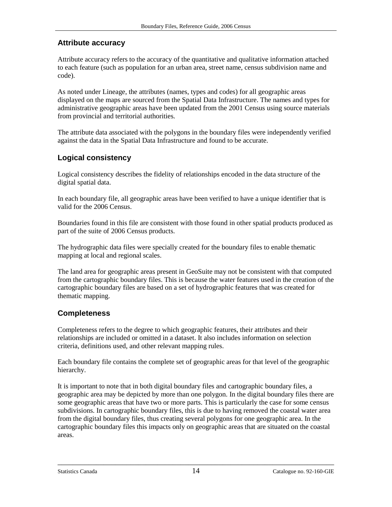### <span id="page-13-0"></span>**Attribute accuracy**

Attribute accuracy refers to the accuracy of the quantitative and qualitative information attached to each feature (such as population for an urban area, street name, census subdivision name and code).

As noted under Lineage, the attributes (names, types and codes) for all geographic areas displayed on the maps are sourced from the Spatial Data Infrastructure. The names and types for administrative geographic areas have been updated from the 2001 Census using source materials from provincial and territorial authorities.

The attribute data associated with the polygons in the boundary files were independently verified against the data in the Spatial Data Infrastructure and found to be accurate.

# **Logical consistency**

Logical consistency describes the fidelity of relationships encoded in the data structure of the digital spatial data.

In each boundary file, all geographic areas have been verified to have a unique identifier that is valid for the 2006 Census.

Boundaries found in this file are consistent with those found in other spatial products produced as part of the suite of 2006 Census products.

The hydrographic data files were specially created for the boundary files to enable thematic mapping at local and regional scales.

The land area for geographic areas present in GeoSuite may not be consistent with that computed from the cartographic boundary files. This is because the water features used in the creation of the cartographic boundary files are based on a set of hydrographic features that was created for thematic mapping.

# **Completeness**

Completeness refers to the degree to which geographic features, their attributes and their relationships are included or omitted in a dataset. It also includes information on selection criteria, definitions used, and other relevant mapping rules.

Each boundary file contains the complete set of geographic areas for that level of the geographic hierarchy.

It is important to note that in both digital boundary files and cartographic boundary files, a geographic area may be depicted by more than one polygon. In the digital boundary files there are some geographic areas that have two or more parts. This is particularly the case for some census subdivisions. In cartographic boundary files, this is due to having removed the coastal water area from the digital boundary files, thus creating several polygons for one geographic area. In the cartographic boundary files this impacts only on geographic areas that are situated on the coastal areas.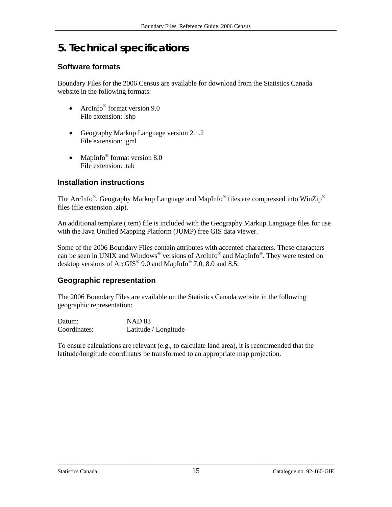# <span id="page-14-0"></span>**5. Technical specifications**

# **Software formats**

Boundary Files for the 2006 Census are available for download from the Statistics Canada website in the following formats:

- ArcInfo $^{\circ}$  format version 9.0 File extension: .shp
- Geography Markup Language version 2.1.2 File extension: .gml
- MapInfo<sup>®</sup> format version 8.0 File extension: .tab

# **Installation instructions**

The ArcInfo®, Geography Markup Language and MapInfo® files are compressed into WinZip® files (file extension .zip).

An additional template (.tem) file is included with the Geography Markup Language files for use with the Java Unified Mapping Platform (JUMP) free GIS data viewer.

Some of the 2006 Boundary Files contain attributes with accented characters. These characters can be seen in UNIX and Windows<sup>®</sup> versions of ArcInfo<sup>®</sup> and MapInfo<sup>®</sup>. They were tested on desktop versions of ArcGIS® 9.0 and MapInfo® 7.0, 8.0 and 8.5.

# **Geographic representation**

The 2006 Boundary Files are available on the Statistics Canada website in the following geographic representation:

| Datum:       | <b>NAD 83</b>        |
|--------------|----------------------|
| Coordinates: | Latitude / Longitude |

To ensure calculations are relevant (e.g., to calculate land area), it is recommended that the latitude/longitude coordinates be transformed to an appropriate map projection.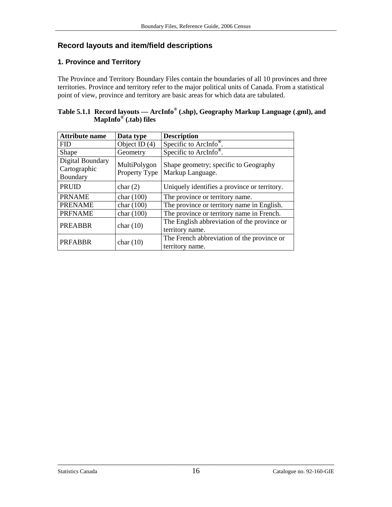# <span id="page-15-0"></span>**Record layouts and item/field descriptions**

# **1. Province and Territory**

The Province and Territory Boundary Files contain the boundaries of all 10 provinces and three territories. Province and territory refer to the major political units of Canada. From a statistical point of view, province and territory are basic areas for which data are tabulated.

| Table 5.1.1 Record layouts — ArcInfo <sup>®</sup> (shp), Geography Markup Language (.gml), and |  |
|------------------------------------------------------------------------------------------------|--|
| MapInfo <sup>®</sup> (.tab) files                                                              |  |

| <b>Attribute name</b>                        | Data type                     | <b>Description</b>                                             |
|----------------------------------------------|-------------------------------|----------------------------------------------------------------|
| <b>FID</b>                                   | Object ID $(4)$               | Specific to ArcInfo <sup>®</sup> .                             |
| Shape                                        | Geometry                      | Specific to ArcInfo <sup>®</sup> .                             |
| Digital Boundary<br>Cartographic<br>Boundary | MultiPolygon<br>Property Type | Shape geometry; specific to Geography<br>Markup Language.      |
| <b>PRUID</b>                                 | char(2)                       | Uniquely identifies a province or territory.                   |
| <b>PRNAME</b>                                | char $(100)$                  | The province or territory name.                                |
| <b>PRENAME</b>                               | char $(100)$                  | The province or territory name in English.                     |
| <b>PRFNAME</b>                               | char $(100)$                  | The province or territory name in French.                      |
| <b>PREABBR</b>                               | char $(10)$                   | The English abbreviation of the province or<br>territory name. |
| <b>PRFABBR</b>                               | char $(10)$                   | The French abbreviation of the province or<br>territory name.  |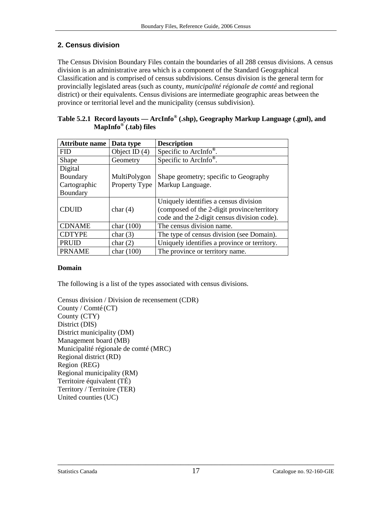# <span id="page-16-0"></span>**2. Census division**

The Census Division Boundary Files contain the boundaries of all 288 census divisions. A census division is an administrative area which is a component of the Standard Geographical Classification and is comprised of census subdivisions. Census division is the general term for provincially legislated areas (such as county, *municipalité régionale de comté* and regional district) or their equivalents. Census divisions are intermediate geographic areas between the province or territorial level and the municipality (census subdivision).

| <b>Attribute name</b> | Data type       | <b>Description</b>                           |
|-----------------------|-----------------|----------------------------------------------|
| <b>FID</b>            | Object ID $(4)$ | Specific to ArcInfo <sup>®</sup> .           |
| Shape                 | Geometry        | Specific to ArcInfo <sup>®</sup> .           |
| Digital               |                 |                                              |
| Boundary              | MultiPolygon    | Shape geometry; specific to Geography        |
| Cartographic          | Property Type   | Markup Language.                             |
| Boundary              |                 |                                              |
|                       |                 | Uniquely identifies a census division        |
| <b>CDUID</b>          | char $(4)$      | (composed of the 2-digit province/territory  |
|                       |                 | code and the 2-digit census division code).  |
| <b>CDNAME</b>         | char $(100)$    | The census division name.                    |
| <b>CDTYPE</b>         | char $(3)$      | The type of census division (see Domain).    |
| <b>PRUID</b>          | char $(2)$      | Uniquely identifies a province or territory. |
| <b>PRNAME</b>         | char $(100)$    | The province or territory name.              |

| Table 5.2.1 Record layouts — ArcInfo® (.shp), Geography Markup Language (.gml), and |
|-------------------------------------------------------------------------------------|
| MapInfo <sup>®</sup> (.tab) files                                                   |

### **Domain**

The following is a list of the types associated with census divisions.

Census division / Division de recensement (CDR) County / Comté (CT) County (CTY) District (DIS) District municipality (DM) Management board (MB) Municipalité régionale de comté (MRC) Regional district (RD) Region (REG) Regional municipality (RM) Territoire équivalent (TÉ) Territory / Territoire (TER) United counties (UC)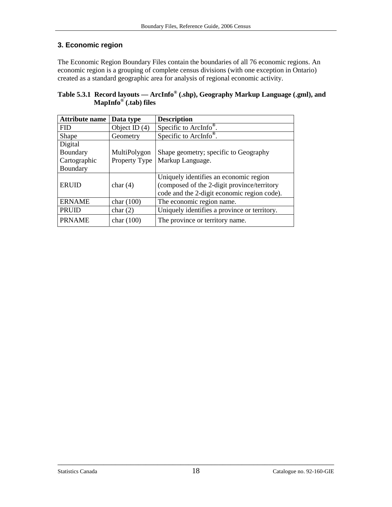# <span id="page-17-0"></span>**3. Economic region**

The Economic Region Boundary Files contain the boundaries of all 76 economic regions. An economic region is a grouping of complete census divisions (with one exception in Ontario) created as a standard geographic area for analysis of regional economic activity.

| Table 5.3.1 Record layouts — ArcInfo <sup>®</sup> (shp), Geography Markup Language (.gml), and |  |
|------------------------------------------------------------------------------------------------|--|
| MapInfo <sup>®</sup> (.tab) files                                                              |  |

| <b>Attribute name</b> | Data type       | <b>Description</b>                           |
|-----------------------|-----------------|----------------------------------------------|
| <b>FID</b>            | Object ID $(4)$ | Specific to ArcInfo <sup>®</sup> .           |
| Shape                 | Geometry        | Specific to ArcInfo <sup>®</sup> .           |
| Digital               |                 |                                              |
| Boundary              | MultiPolygon    | Shape geometry; specific to Geography        |
| Cartographic          | Property Type   | Markup Language.                             |
| Boundary              |                 |                                              |
|                       |                 | Uniquely identifies an economic region       |
| <b>ERUID</b>          | char $(4)$      | (composed of the 2-digit province/territory  |
|                       |                 | code and the 2-digit economic region code).  |
| <b>ERNAME</b>         | char $(100)$    | The economic region name.                    |
| <b>PRUID</b>          | char $(2)$      | Uniquely identifies a province or territory. |
| <b>PRNAME</b>         | char $(100)$    | The province or territory name.              |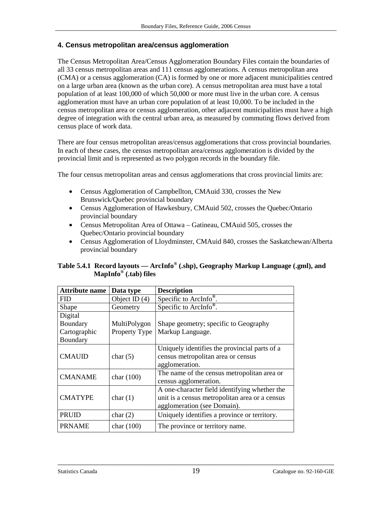### <span id="page-18-0"></span>**4. Census metropolitan area/census agglomeration**

The Census Metropolitan Area/Census Agglomeration Boundary Files contain the boundaries of all 33 census metropolitan areas and 111 census agglomerations. A census metropolitan area (CMA) or a census agglomeration (CA) is formed by one or more adjacent municipalities centred on a large urban area (known as the urban core). A census metropolitan area must have a total population of at least 100,000 of which 50,000 or more must live in the urban core. A census agglomeration must have an urban core population of at least 10,000. To be included in the census metropolitan area or census agglomeration, other adjacent municipalities must have a high degree of integration with the central urban area, as measured by commuting flows derived from census place of work data.

There are four census metropolitan areas/census agglomerations that cross provincial boundaries. In each of these cases, the census metropolitan area/census agglomeration is divided by the provincial limit and is represented as two polygon records in the boundary file.

The four census metropolitan areas and census agglomerations that cross provincial limits are:

- Census Agglomeration of Campbellton, CMAuid 330, crosses the New Brunswick/Quebec provincial boundary
- Census Agglomeration of Hawkesbury, CMAuid 502, crosses the Quebec/Ontario provincial boundary
- Census Metropolitan Area of Ottawa Gatineau, CMAuid 505, crosses the Quebec/Ontario provincial boundary
- Census Agglomeration of Lloydminster, CMAuid 840, crosses the Saskatchewan/Alberta provincial boundary

| <b>Attribute name</b> | Data type       | <b>Description</b>                                                                                                             |
|-----------------------|-----------------|--------------------------------------------------------------------------------------------------------------------------------|
| <b>FID</b>            | Object ID $(4)$ | Specific to $\overline{\text{Archfo}^{\otimes}}$ .                                                                             |
| Shape                 | Geometry        | Specific to ArcInfo <sup>®</sup> .                                                                                             |
| Digital               |                 |                                                                                                                                |
| Boundary              | MultiPolygon    | Shape geometry; specific to Geography                                                                                          |
| Cartographic          | Property Type   | Markup Language.                                                                                                               |
| Boundary              |                 |                                                                                                                                |
| <b>CMAUID</b>         | char $(5)$      | Uniquely identifies the provincial parts of a<br>census metropolitan area or census<br>agglomeration.                          |
| <b>CMANAME</b>        | char $(100)$    | The name of the census metropolitan area or<br>census agglomeration.                                                           |
| <b>CMATYPE</b>        | char $(1)$      | A one-character field identifying whether the<br>unit is a census metropolitan area or a census<br>agglomeration (see Domain). |
| <b>PRUID</b>          | char $(2)$      | Uniquely identifies a province or territory.                                                                                   |
| <b>PRNAME</b>         | char $(100)$    | The province or territory name.                                                                                                |

#### **Table 5.4.1 Record layouts — ArcInfo® (.shp), Geography Markup Language (.gml), and MapInfo® (.tab) files**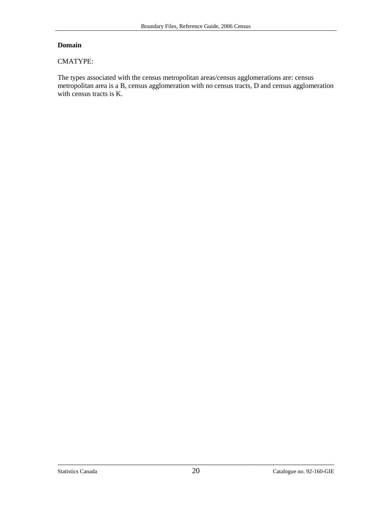#### **Domain**

#### CMATYPE:

The types associated with the census metropolitan areas/census agglomerations are: census metropolitan area is a B, census agglomeration with no census tracts, D and census agglomeration with census tracts is K.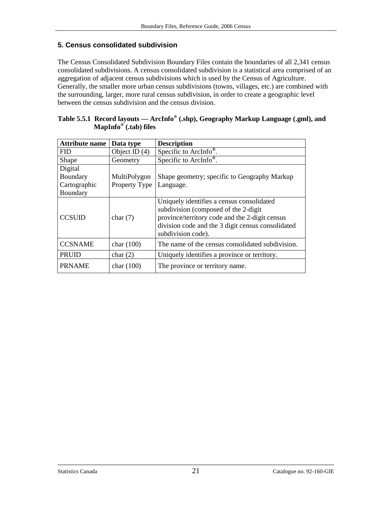### <span id="page-20-0"></span>**5. Census consolidated subdivision**

The Census Consolidated Subdivision Boundary Files contain the boundaries of all 2,341 census consolidated subdivisions. A census consolidated subdivision is a statistical area comprised of an aggregation of adjacent census subdivisions which is used by the Census of Agriculture. Generally, the smaller more urban census subdivisions (towns, villages, etc.) are combined with the surrounding, larger, more rural census subdivision, in order to create a geographic level between the census subdivision and the census division.

| MapInfo <sup>o</sup> (.tab) files |                         |                                              |
|-----------------------------------|-------------------------|----------------------------------------------|
| Attribute name Data type          |                         | <b>Description</b>                           |
| <b>FID</b>                        | Object ID $(4)$         | Specific to ArcInfo <sup>®</sup> .           |
| Shape                             | Geometry                | Specific to ArcInfo <sup>®</sup> .           |
| Digital                           |                         |                                              |
| Boundary                          | MultiPolygon            | Shape geometry; specific to Geography Markup |
| l Cartographic                    | Property Type LLanguage |                                              |

| Table 5.5.1 Record layouts — ArcInfo® (.shp), Geography Markup Language (.gml), and |  |  |
|-------------------------------------------------------------------------------------|--|--|
| MapInfo <sup>®</sup> (.tab) files                                                   |  |  |

| Digital<br>Boundary<br>Cartographic<br>Boundary | MultiPolygon<br>Property Type | Shape geometry; specific to Geography Markup<br>Language.                                                                                                                                                      |
|-------------------------------------------------|-------------------------------|----------------------------------------------------------------------------------------------------------------------------------------------------------------------------------------------------------------|
| <b>CCSUID</b>                                   | char $(7)$                    | Uniquely identifies a census consolidated<br>subdivision (composed of the 2-digit<br>province/territory code and the 2-digit census<br>division code and the 3 digit census consolidated<br>subdivision code). |
| <b>CCSNAME</b>                                  | char $(100)$                  | The name of the census consolidated subdivision.                                                                                                                                                               |
| <b>PRUID</b>                                    | char(2)                       | Uniquely identifies a province or territory.                                                                                                                                                                   |

PRNAME  $\vert$  char (100)  $\vert$  The province or territory name.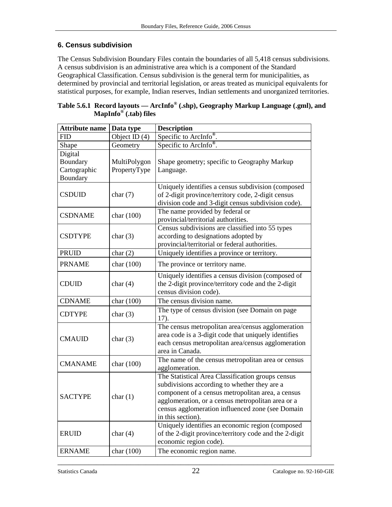# <span id="page-21-0"></span>**6. Census subdivision**

The Census Subdivision Boundary Files contain the boundaries of all 5,418 census subdivisions. A census subdivision is an administrative area which is a component of the Standard Geographical Classification. Census subdivision is the general term for municipalities, as determined by provincial and territorial legislation, or areas treated as municipal equivalents for statistical purposes, for example, Indian reserves, Indian settlements and unorganized territories.

| <b>Attribute name</b> | Data type     | <b>Description</b>                                                                                                                                                                                                                                                                   |
|-----------------------|---------------|--------------------------------------------------------------------------------------------------------------------------------------------------------------------------------------------------------------------------------------------------------------------------------------|
| <b>FID</b>            | Object ID (4) | Specific to ArcInfo <sup>®</sup> .                                                                                                                                                                                                                                                   |
| Shape                 | Geometry      | Specific to ArcInfo <sup>®</sup> .                                                                                                                                                                                                                                                   |
| Digital               |               |                                                                                                                                                                                                                                                                                      |
| Boundary              | MultiPolygon  | Shape geometry; specific to Geography Markup                                                                                                                                                                                                                                         |
| Cartographic          | PropertyType  | Language.                                                                                                                                                                                                                                                                            |
| Boundary              |               |                                                                                                                                                                                                                                                                                      |
| <b>CSDUID</b>         | char $(7)$    | Uniquely identifies a census subdivision (composed<br>of 2-digit province/territory code, 2-digit census<br>division code and 3-digit census subdivision code).                                                                                                                      |
| <b>CSDNAME</b>        | char (100)    | The name provided by federal or<br>provincial/territorial authorities.                                                                                                                                                                                                               |
| <b>CSDTYPE</b>        | char $(3)$    | Census subdivisions are classified into 55 types<br>according to designations adopted by<br>provincial/territorial or federal authorities.                                                                                                                                           |
| <b>PRUID</b>          | char $(2)$    | Uniquely identifies a province or territory.                                                                                                                                                                                                                                         |
| <b>PRNAME</b>         | char (100)    | The province or territory name.                                                                                                                                                                                                                                                      |
| <b>CDUID</b>          | char $(4)$    | Uniquely identifies a census division (composed of<br>the 2-digit province/territory code and the 2-digit<br>census division code).                                                                                                                                                  |
| <b>CDNAME</b>         | char (100)    | The census division name.                                                                                                                                                                                                                                                            |
| <b>CDTYPE</b>         | char $(3)$    | The type of census division (see Domain on page<br>17).                                                                                                                                                                                                                              |
| <b>CMAUID</b>         | char $(3)$    | The census metropolitan area/census agglomeration<br>area code is a 3-digit code that uniquely identifies<br>each census metropolitan area/census agglomeration<br>area in Canada.                                                                                                   |
| <b>CMANAME</b>        | char (100)    | The name of the census metropolitan area or census<br>agglomeration.                                                                                                                                                                                                                 |
| <b>SACTYPE</b>        | char $(1)$    | The Statistical Area Classification groups census<br>subdivisions according to whether they are a<br>component of a census metropolitan area, a census<br>agglomeration, or a census metropolitan area or a<br>census agglomeration influenced zone (see Domain<br>in this section). |
| <b>ERUID</b>          | char $(4)$    | Uniquely identifies an economic region (composed<br>of the 2-digit province/territory code and the 2-digit<br>economic region code).                                                                                                                                                 |
| <b>ERNAME</b>         | char (100)    | The economic region name.                                                                                                                                                                                                                                                            |

**Table 5.6.1 Record layouts — ArcInfo® (.shp), Geography Markup Language (.gml), and MapInfo® (.tab) files**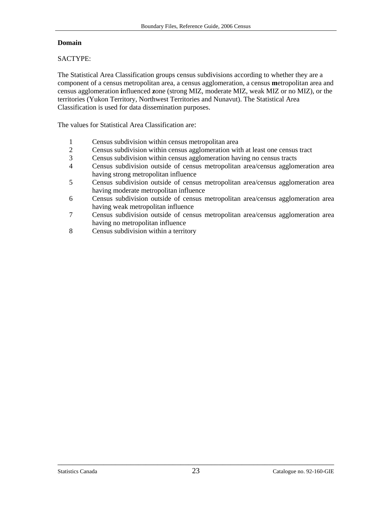#### **Domain**

#### SACTYPE:

The Statistical Area Classification groups census subdivisions according to whether they are a component of a census metropolitan area, a census agglomeration, a census **m**etropolitan area and census agglomeration **i**nfluenced **z**one (strong MIZ, moderate MIZ, weak MIZ or no MIZ), or the territories (Yukon Territory, Northwest Territories and Nunavut). The Statistical Area Classification is used for data dissemination purposes.

The values for Statistical Area Classification are:

- 1 Census subdivision within census metropolitan area
- 2 Census subdivision within census agglomeration with at least one census tract
- 3 Census subdivision within census agglomeration having no census tracts
- 4 Census subdivision outside of census metropolitan area/census agglomeration area having strong metropolitan influence
- 5 Census subdivision outside of census metropolitan area/census agglomeration area having moderate metropolitan influence
- 6 Census subdivision outside of census metropolitan area/census agglomeration area having weak metropolitan influence
- 7 Census subdivision outside of census metropolitan area/census agglomeration area having no metropolitan influence
- 8 Census subdivision within a territory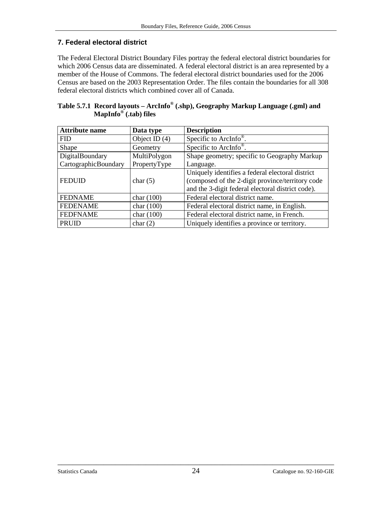# <span id="page-23-0"></span>**7. Federal electoral district**

The Federal Electoral District Boundary Files portray the federal electoral district boundaries for which 2006 Census data are disseminated. A federal electoral district is an area represented by a member of the House of Commons. The federal electoral district boundaries used for the 2006 Census are based on the 2003 Representation Order. The files contain the boundaries for all 308 federal electoral districts which combined cover all of Canada.

| Table 5.7.1 Record layouts - ArcInfo® (.shp), Geography Markup Language (.gml) and |  |  |
|------------------------------------------------------------------------------------|--|--|
| MapInfo <sup>®</sup> (.tab) files                                                  |  |  |

| <b>Attribute name</b> | Data type       | <b>Description</b>                                |
|-----------------------|-----------------|---------------------------------------------------|
| <b>FID</b>            | Object ID $(4)$ | Specific to ArcInfo <sup>®</sup> .                |
| Shape                 | Geometry        | Specific to ArcInfo <sup>®</sup> .                |
| DigitalBoundary       | MultiPolygon    | Shape geometry; specific to Geography Markup      |
| CartographicBoundary  | PropertyType    | Language.                                         |
|                       |                 | Uniquely identifies a federal electoral district  |
| <b>FEDUID</b>         | char $(5)$      | (composed of the 2-digit province/territory code  |
|                       |                 | and the 3-digit federal electoral district code). |
| <b>FEDNAME</b>        | char $(100)$    | Federal electoral district name.                  |
| <b>FEDENAME</b>       | char $(100)$    | Federal electoral district name, in English.      |
| <b>FEDFNAME</b>       | char $(100)$    | Federal electoral district name, in French.       |
| PRUID                 | char $(2)$      | Uniquely identifies a province or territory.      |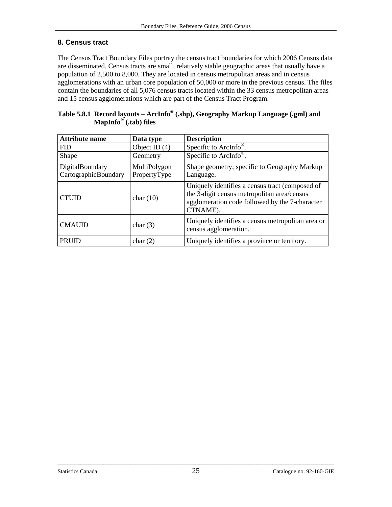# <span id="page-24-0"></span>**8. Census tract**

The Census Tract Boundary Files portray the census tract boundaries for which 2006 Census data are disseminated. Census tracts are small, relatively stable geographic areas that usually have a population of 2,500 to 8,000. They are located in census metropolitan areas and in census agglomerations with an urban core population of 50,000 or more in the previous census. The files contain the boundaries of all 5,076 census tracts located within the 33 census metropolitan areas and 15 census agglomerations which are part of the Census Tract Program.

| <b>Attribute name</b>                   | Data type                    | <b>Description</b>                                                                                                                                           |
|-----------------------------------------|------------------------------|--------------------------------------------------------------------------------------------------------------------------------------------------------------|
| <b>FID</b>                              | Object ID $(4)$              | Specific to ArcInfo <sup>®</sup> .                                                                                                                           |
| Shape                                   | Geometry                     | Specific to ArcInfo <sup>®</sup> .                                                                                                                           |
| DigitalBoundary<br>CartographicBoundary | MultiPolygon<br>PropertyType | Shape geometry; specific to Geography Markup<br>Language.                                                                                                    |
| <b>CTUID</b>                            | char $(10)$                  | Uniquely identifies a census tract (composed of<br>the 3-digit census metropolitan area/census<br>agglomeration code followed by the 7-character<br>CTNAME). |
| <b>CMAUID</b>                           | char $(3)$                   | Uniquely identifies a census metropolitan area or<br>census agglomeration.                                                                                   |
| <b>PRUID</b>                            | char(2)                      | Uniquely identifies a province or territory.                                                                                                                 |

|                                   | Table 5.8.1 Record layouts - ArcInfo® (.shp), Geography Markup Language (.gml) and |  |
|-----------------------------------|------------------------------------------------------------------------------------|--|
| MapInfo <sup>®</sup> (.tab) files |                                                                                    |  |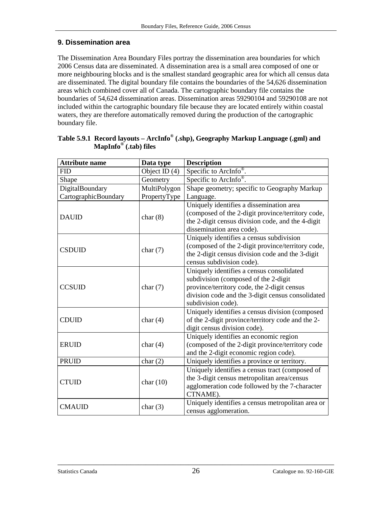# <span id="page-25-0"></span>**9. Dissemination area**

The Dissemination Area Boundary Files portray the dissemination area boundaries for which 2006 Census data are disseminated. A dissemination area is a small area composed of one or more neighbouring blocks and is the smallest standard geographic area for which all census data are disseminated. The digital boundary file contains the boundaries of the 54,626 dissemination areas which combined cover all of Canada. The cartographic boundary file contains the boundaries of 54,624 dissemination areas. Dissemination areas 59290104 and 59290108 are not included within the cartographic boundary file because they are located entirely within coastal waters, they are therefore automatically removed during the production of the cartographic boundary file.

| <b>Attribute name</b>       | Data type       | <b>Description</b>                                                                         |
|-----------------------------|-----------------|--------------------------------------------------------------------------------------------|
| <b>FID</b>                  | Object ID $(4)$ | Specific to ArcInfo <sup>®</sup> .                                                         |
| Shape                       | Geometry        | Specific to ArcInfo <sup>®</sup> .                                                         |
| DigitalBoundary             | MultiPolygon    | Shape geometry; specific to Geography Markup                                               |
| <b>CartographicBoundary</b> | PropertyType    | Language.                                                                                  |
|                             |                 | Uniquely identifies a dissemination area                                                   |
| <b>DAUID</b>                | char $(8)$      | (composed of the 2-digit province/territory code,                                          |
|                             |                 | the 2-digit census division code, and the 4-digit                                          |
|                             |                 | dissemination area code).                                                                  |
|                             |                 | Uniquely identifies a census subdivision                                                   |
| <b>CSDUID</b>               | char $(7)$      | (composed of the 2-digit province/territory code,                                          |
|                             |                 | the 2-digit census division code and the 3-digit                                           |
|                             |                 | census subdivision code).                                                                  |
|                             |                 | Uniquely identifies a census consolidated                                                  |
|                             |                 | subdivision (composed of the 2-digit                                                       |
| <b>CCSUID</b>               | char $(7)$      | province/territory code, the 2-digit census                                                |
|                             |                 | division code and the 3-digit census consolidated                                          |
|                             |                 | subdivision code).                                                                         |
| <b>CDUID</b>                |                 | Uniquely identifies a census division (composed                                            |
|                             | char $(4)$      | of the 2-digit province/territory code and the 2-<br>digit census division code).          |
|                             |                 |                                                                                            |
| <b>ERUID</b>                | char $(4)$      | Uniquely identifies an economic region<br>(composed of the 2-digit province/territory code |
|                             |                 | and the 2-digit economic region code).                                                     |
| <b>PRUID</b>                | char(2)         | Uniquely identifies a province or territory.                                               |
|                             |                 | Uniquely identifies a census tract (composed of                                            |
|                             |                 | the 3-digit census metropolitan area/census                                                |
| <b>CTUID</b>                | char $(10)$     | agglomeration code followed by the 7-character                                             |
|                             |                 | CTNAME).                                                                                   |
|                             |                 | Uniquely identifies a census metropolitan area or                                          |
| <b>CMAUID</b>               | char $(3)$      | census agglomeration.                                                                      |
|                             |                 |                                                                                            |

|                                   | Table 5.9.1 Record layouts - ArcInfo® (.shp), Geography Markup Language (.gml) and |
|-----------------------------------|------------------------------------------------------------------------------------|
| MapInfo <sup>®</sup> (.tab) files |                                                                                    |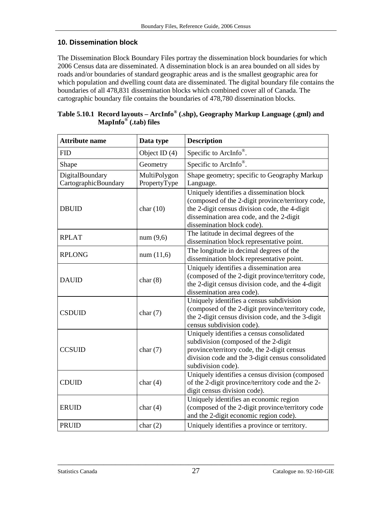### <span id="page-26-0"></span>**10. Dissemination block**

The Dissemination Block Boundary Files portray the dissemination block boundaries for which 2006 Census data are disseminated. A dissemination block is an area bounded on all sides by roads and/or boundaries of standard geographic areas and is the smallest geographic area for which population and dwelling count data are disseminated. The digital boundary file contains the boundaries of all 478,831 dissemination blocks which combined cover all of Canada. The cartographic boundary file contains the boundaries of 478,780 dissemination blocks.

| <b>Attribute name</b>                   | Data type                    | <b>Description</b>                                                                                                                                                                                                        |
|-----------------------------------------|------------------------------|---------------------------------------------------------------------------------------------------------------------------------------------------------------------------------------------------------------------------|
| <b>FID</b>                              | Object ID $(4)$              | Specific to ArcInfo®.                                                                                                                                                                                                     |
| Shape                                   | Geometry                     | Specific to ArcInfo <sup>®</sup> .                                                                                                                                                                                        |
| DigitalBoundary<br>CartographicBoundary | MultiPolygon<br>PropertyType | Shape geometry; specific to Geography Markup<br>Language.                                                                                                                                                                 |
| <b>DBUID</b>                            | char $(10)$                  | Uniquely identifies a dissemination block<br>(composed of the 2-digit province/territory code,<br>the 2-digit census division code, the 4-digit<br>dissemination area code, and the 2-digit<br>dissemination block code). |
| <b>RPLAT</b>                            | num(9,6)                     | The latitude in decimal degrees of the<br>dissemination block representative point.                                                                                                                                       |
| <b>RPLONG</b>                           | num(11,6)                    | The longitude in decimal degrees of the<br>dissemination block representative point.                                                                                                                                      |
| <b>DAUID</b>                            | char(8)                      | Uniquely identifies a dissemination area<br>(composed of the 2-digit province/territory code,<br>the 2-digit census division code, and the 4-digit<br>dissemination area code).                                           |
| <b>CSDUID</b>                           | char $(7)$                   | Uniquely identifies a census subdivision<br>(composed of the 2-digit province/territory code,<br>the 2-digit census division code, and the 3-digit<br>census subdivision code).                                           |
| <b>CCSUID</b>                           | char $(7)$                   | Uniquely identifies a census consolidated<br>subdivision (composed of the 2-digit<br>province/territory code, the 2-digit census<br>division code and the 3-digit census consolidated<br>subdivision code).               |
| <b>CDUID</b>                            | char $(4)$                   | Uniquely identifies a census division (composed<br>of the 2-digit province/territory code and the 2-<br>digit census division code).                                                                                      |
| <b>ERUID</b>                            | char $(4)$                   | Uniquely identifies an economic region<br>(composed of the 2-digit province/territory code<br>and the 2-digit economic region code).                                                                                      |
| <b>PRUID</b>                            | char(2)                      | Uniquely identifies a province or territory.                                                                                                                                                                              |

| Table 5.10.1 Record layouts - ArcInfo <sup>®</sup> (.shp), Geography Markup Language (.gml) and |
|-------------------------------------------------------------------------------------------------|
| MapInfo <sup>®</sup> (.tab) files                                                               |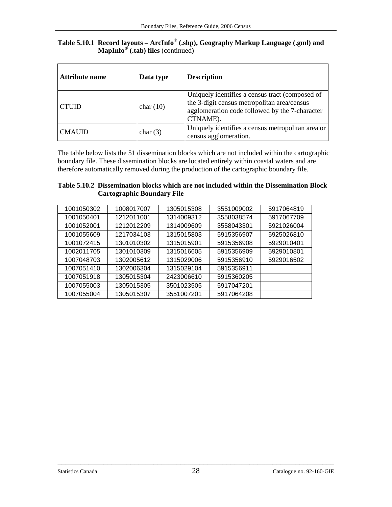| Table 5.10.1 Record layouts - ArcInfo® (.shp), Geography Markup Language (.gml) and |
|-------------------------------------------------------------------------------------|
| <b>MapInfo</b> <sup><math>\circledcirc</math></sup> (.tab) files (continued)        |

| <b>Attribute name</b> | Data type   | <b>Description</b>                                                                                                                                           |
|-----------------------|-------------|--------------------------------------------------------------------------------------------------------------------------------------------------------------|
| <b>CTUID</b>          | char $(10)$ | Uniquely identifies a census tract (composed of<br>the 3-digit census metropolitan area/census<br>agglomeration code followed by the 7-character<br>CTNAME). |
| <b>CMAUID</b>         | char $(3)$  | Uniquely identifies a census metropolitan area or<br>census agglomeration.                                                                                   |

The table below lists the 51 dissemination blocks which are not included within the cartographic boundary file. These dissemination blocks are located entirely within coastal waters and are therefore automatically removed during the production of the cartographic boundary file.

| Table 5.10.2 Dissemination blocks which are not included within the Dissemination Block |
|-----------------------------------------------------------------------------------------|
| <b>Cartographic Boundary File</b>                                                       |

| 1001050302 | 1008017007 | 1305015308 | 3551009002 | 5917064819 |
|------------|------------|------------|------------|------------|
| 1001050401 | 1212011001 | 1314009312 | 3558038574 | 5917067709 |
| 1001052001 | 1212012209 | 1314009609 | 3558043301 | 5921026004 |
| 1001055609 | 1217034103 | 1315015803 | 5915356907 | 5925026810 |
| 1001072415 | 1301010302 | 1315015901 | 5915356908 | 5929010401 |
| 1002011705 | 1301010309 | 1315016605 | 5915356909 | 5929010801 |
| 1007048703 | 1302005612 | 1315029006 | 5915356910 | 5929016502 |
| 1007051410 | 1302006304 | 1315029104 | 5915356911 |            |
| 1007051918 | 1305015304 | 2423006610 | 5915360205 |            |
| 1007055003 | 1305015305 | 3501023505 | 5917047201 |            |
| 1007055004 | 1305015307 | 3551007201 | 5917064208 |            |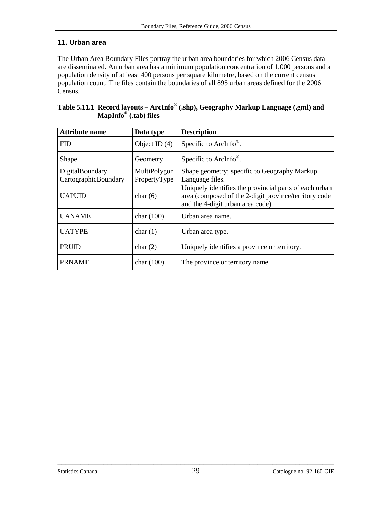### <span id="page-28-0"></span>**11. Urban area**

The Urban Area Boundary Files portray the urban area boundaries for which 2006 Census data are disseminated. An urban area has a minimum population concentration of 1,000 persons and a population density of at least 400 persons per square kilometre, based on the current census population count. The files contain the boundaries of all 895 urban areas defined for the 2006 Census.

| <b>Attribute name</b> | Data type       | <b>Description</b>                                                                                                                                   |
|-----------------------|-----------------|------------------------------------------------------------------------------------------------------------------------------------------------------|
| <b>FID</b>            | Object ID $(4)$ | Specific to ArcInfo <sup>®</sup> .                                                                                                                   |
| Shape                 | Geometry        | Specific to ArcInfo <sup>®</sup> .                                                                                                                   |
| DigitalBoundary       | MultiPolygon    | Shape geometry; specific to Geography Markup                                                                                                         |
| CartographicBoundary  | PropertyType    | Language files.                                                                                                                                      |
| <b>UAPUID</b>         | char $(6)$      | Uniquely identifies the provincial parts of each urban<br>area (composed of the 2-digit province/territory code<br>and the 4-digit urban area code). |
| <b>UANAME</b>         | char $(100)$    | Urban area name.                                                                                                                                     |
| <b>UATYPE</b>         | char(1)         | Urban area type.                                                                                                                                     |
| PRUID                 | char $(2)$      | Uniquely identifies a province or territory.                                                                                                         |
| <b>PRNAME</b>         | char $(100)$    | The province or territory name.                                                                                                                      |

**Table 5.11.1 Record layouts – ArcInfo**® **(.shp), Geography Markup Language (.gml) and MapInfo**® **(.tab) files**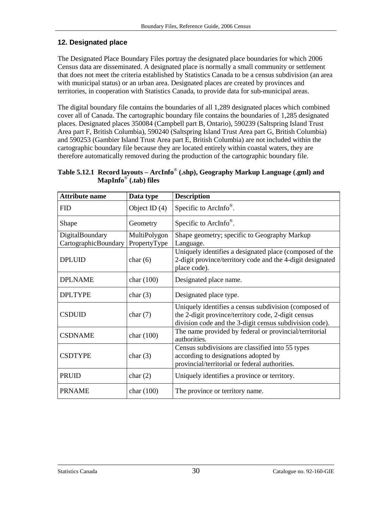### <span id="page-29-0"></span>**12. Designated place**

The Designated Place Boundary Files portray the designated place boundaries for which 2006 Census data are disseminated. A designated place is normally a small community or settlement that does not meet the criteria established by Statistics Canada to be a census subdivision (an area with municipal status) or an urban area. Designated places are created by provinces and territories, in cooperation with Statistics Canada, to provide data for sub-municipal areas.

The digital boundary file contains the boundaries of all 1,289 designated places which combined cover all of Canada. The cartographic boundary file contains the boundaries of 1,285 designated places. Designated places 350084 (Campbell part B, Ontario), 590239 (Saltspring Island Trust Area part F, British Columbia), 590240 (Saltspring Island Trust Area part G, British Columbia) and 590253 (Gambier Island Trust Area part E, British Columbia) are not included within the cartographic boundary file because they are located entirely within coastal waters, they are therefore automatically removed during the production of the cartographic boundary file.

**Table 5.12.1 Record layouts – ArcInfo**® **(.shp), Geography Markup Language (.gml) and MapInfo**® **(.tab) files** 

| <b>Attribute name</b> | Data type       | <b>Description</b>                                                                                                                                                      |
|-----------------------|-----------------|-------------------------------------------------------------------------------------------------------------------------------------------------------------------------|
| <b>FID</b>            | Object ID $(4)$ | Specific to ArcInfo <sup>®</sup> .                                                                                                                                      |
| Shape                 | Geometry        | Specific to ArcInfo <sup>®</sup> .                                                                                                                                      |
| DigitalBoundary       | MultiPolygon    | Shape geometry; specific to Geography Markup                                                                                                                            |
| CartographicBoundary  | PropertyType    | Language.                                                                                                                                                               |
| <b>DPLUID</b>         | char $(6)$      | Uniquely identifies a designated place (composed of the<br>2-digit province/territory code and the 4-digit designated<br>place code).                                   |
| <b>DPLNAME</b>        | char $(100)$    | Designated place name.                                                                                                                                                  |
| <b>DPLTYPE</b>        | char $(3)$      | Designated place type.                                                                                                                                                  |
| <b>CSDUID</b>         | char $(7)$      | Uniquely identifies a census subdivision (composed of<br>the 2-digit province/territory code, 2-digit census<br>division code and the 3-digit census subdivision code). |
| <b>CSDNAME</b>        | char (100)      | The name provided by federal or provincial/territorial<br>authorities.                                                                                                  |
| <b>CSDTYPE</b>        | char $(3)$      | Census subdivisions are classified into 55 types<br>according to designations adopted by<br>provincial/territorial or federal authorities.                              |
| <b>PRUID</b>          | char $(2)$      | Uniquely identifies a province or territory.                                                                                                                            |
| <b>PRNAME</b>         | char $(100)$    | The province or territory name.                                                                                                                                         |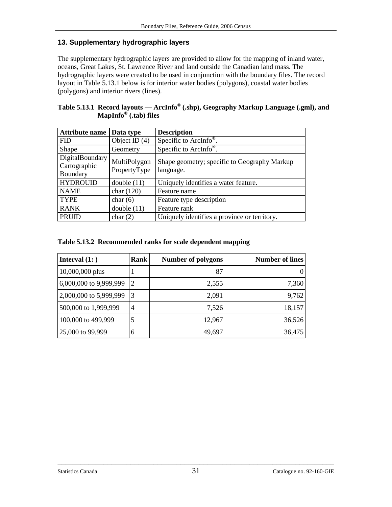### <span id="page-30-0"></span>**13. Supplementary hydrographic layers**

The supplementary hydrographic layers are provided to allow for the mapping of inland water, oceans, Great Lakes, St. Lawrence River and land outside the Canadian land mass. The hydrographic layers were created to be used in conjunction with the boundary files. The record layout in Table 5.13.1 below is for interior water bodies (polygons), coastal water bodies (polygons) and interior rivers (lines).

| Table 5.13.1 Record layouts — ArcInfo <sup>®</sup> (.shp), Geography Markup Language (.gml), and |
|--------------------------------------------------------------------------------------------------|
| MapInfo <sup>®</sup> (.tab) files                                                                |

| <b>Attribute name</b>                       | Data type                    | <b>Description</b>                                        |
|---------------------------------------------|------------------------------|-----------------------------------------------------------|
| <b>FID</b>                                  | Object ID $(4)$              | Specific to ArcInfo <sup>®</sup> .                        |
| Shape                                       | Geometry                     | Specific to ArcInfo <sup>®</sup> .                        |
| DigitalBoundary<br>Cartographic<br>Boundary | MultiPolygon<br>PropertyType | Shape geometry; specific to Geography Markup<br>language. |
| <b>HYDROUID</b>                             | double(11)                   | Uniquely identifies a water feature.                      |
| <b>NAME</b>                                 | char $(120)$                 | Feature name                                              |
| <b>TYPE</b>                                 | char $(6)$                   | Feature type description                                  |
| <b>RANK</b>                                 | double $(11)$                | Feature rank                                              |
| <b>PRUID</b>                                | char $(2)$                   | Uniquely identifies a province or territory.              |

**Table 5.13.2 Recommended ranks for scale dependent mapping** 

| Interval $(1: )$       | Rank           | <b>Number of polygons</b> | <b>Number of lines</b> |
|------------------------|----------------|---------------------------|------------------------|
| 10,000,000 plus        |                | 87                        |                        |
| 6,000,000 to 9,999,999 | 2              | 2,555                     | 7,360                  |
| 2,000,000 to 5,999,999 | 3              | 2,091                     | 9,762                  |
| 500,000 to 1,999,999   | $\overline{4}$ | 7,526                     | 18,157                 |
| 100,000 to 499,999     | 5              | 12,967                    | 36,526                 |
| 25,000 to 99,999       | 6              | 49,697                    | 36,475                 |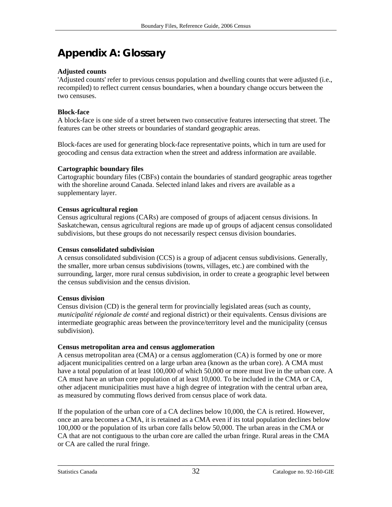# **Appendix A: Glossary**

#### **Adjusted counts**

'Adjusted counts' refer to previous census population and dwelling counts that were adjusted (i.e., recompiled) to reflect current census boundaries, when a boundary change occurs between the two censuses.

#### **Block-face**

A block-face is one side of a street between two consecutive features intersecting that street. The features can be other streets or boundaries of standard geographic areas.

Block-faces are used for generating block-face representative points, which in turn are used for geocoding and census data extraction when the street and address information are available.

#### **Cartographic boundary files**

Cartographic boundary files (CBFs) contain the boundaries of standard geographic areas together with the shoreline around Canada. Selected inland lakes and rivers are available as a supplementary layer.

#### **Census agricultural region**

Census agricultural regions (CARs) are composed of groups of adjacent census divisions. In Saskatchewan, census agricultural regions are made up of groups of adjacent census consolidated subdivisions, but these groups do not necessarily respect census division boundaries.

#### **Census consolidated subdivision**

A census consolidated subdivision (CCS) is a group of adjacent census subdivisions. Generally, the smaller, more urban census subdivisions (towns, villages, etc.) are combined with the surrounding, larger, more rural census subdivision, in order to create a geographic level between the census subdivision and the census division.

#### **Census division**

Census division (CD) is the general term for provincially legislated areas (such as county, *municipalité régionale de comté* and regional district) or their equivalents. Census divisions are intermediate geographic areas between the province/territory level and the municipality (census subdivision).

#### **Census metropolitan area and census agglomeration**

A census metropolitan area (CMA) or a census agglomeration (CA) is formed by one or more adjacent municipalities centred on a large urban area (known as the urban core). A CMA must have a total population of at least 100,000 of which 50,000 or more must live in the urban core. A CA must have an urban core population of at least 10,000. To be included in the CMA or CA, other adjacent municipalities must have a high degree of integration with the central urban area, as measured by commuting flows derived from census place of work data.

If the population of the urban core of a CA declines below 10,000, the CA is retired. However, once an area becomes a CMA, it is retained as a CMA even if its total population declines below 100,000 or the population of its urban core falls below 50,000. The urban areas in the CMA or CA that are not contiguous to the urban core are called the urban fringe. Rural areas in the CMA or CA are called the rural fringe.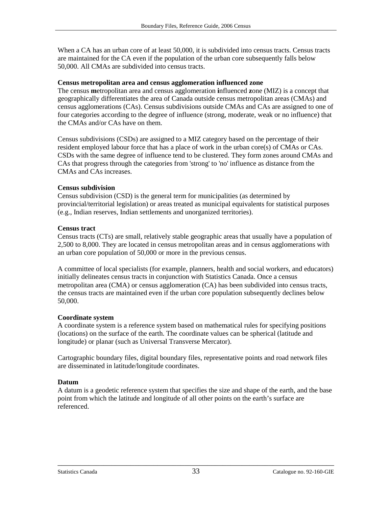When a CA has an urban core of at least 50,000, it is subdivided into census tracts. Census tracts are maintained for the CA even if the population of the urban core subsequently falls below 50,000. All CMAs are subdivided into census tracts.

#### **Census metropolitan area and census agglomeration influenced zone**

The census **m**etropolitan area and census agglomeration **i**nfluenced **z**one (MIZ) is a concept that geographically differentiates the area of Canada outside census metropolitan areas (CMAs) and census agglomerations (CAs). Census subdivisions outside CMAs and CAs are assigned to one of four categories according to the degree of influence (strong, moderate, weak or no influence) that the CMAs and/or CAs have on them.

Census subdivisions (CSDs) are assigned to a MIZ category based on the percentage of their resident employed labour force that has a place of work in the urban core(s) of CMAs or CAs. CSDs with the same degree of influence tend to be clustered. They form zones around CMAs and CAs that progress through the categories from 'strong' to 'no' influence as distance from the CMAs and CAs increases.

#### **Census subdivision**

Census subdivision (CSD) is the general term for municipalities (as determined by provincial/territorial legislation) or areas treated as municipal equivalents for statistical purposes (e.g., Indian reserves, Indian settlements and unorganized territories).

#### **Census tract**

Census tracts (CTs) are small, relatively stable geographic areas that usually have a population of 2,500 to 8,000. They are located in census metropolitan areas and in census agglomerations with an urban core population of 50,000 or more in the previous census.

A committee of local specialists (for example, planners, health and social workers, and educators) initially delineates census tracts in conjunction with Statistics Canada. Once a census metropolitan area (CMA) or census agglomeration (CA) has been subdivided into census tracts, the census tracts are maintained even if the urban core population subsequently declines below 50,000.

#### **Coordinate system**

A coordinate system is a reference system based on mathematical rules for specifying positions (locations) on the surface of the earth. The coordinate values can be spherical (latitude and longitude) or planar (such as Universal Transverse Mercator).

Cartographic boundary files, digital boundary files, representative points and road network files are disseminated in latitude/longitude coordinates.

#### **Datum**

A datum is a geodetic reference system that specifies the size and shape of the earth, and the base point from which the latitude and longitude of all other points on the earth's surface are referenced.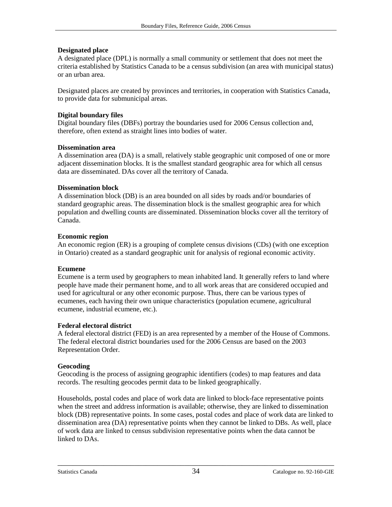#### **Designated place**

A designated place (DPL) is normally a small community or settlement that does not meet the criteria established by Statistics Canada to be a census subdivision (an area with municipal status) or an urban area.

Designated places are created by provinces and territories, in cooperation with Statistics Canada, to provide data for submunicipal areas.

#### **Digital boundary files**

Digital boundary files (DBFs) portray the boundaries used for 2006 Census collection and, therefore, often extend as straight lines into bodies of water.

#### **Dissemination area**

A dissemination area (DA) is a small, relatively stable geographic unit composed of one or more adjacent dissemination blocks. It is the smallest standard geographic area for which all census data are disseminated. DAs cover all the territory of Canada.

#### **Dissemination block**

A dissemination block (DB) is an area bounded on all sides by roads and/or boundaries of standard geographic areas. The dissemination block is the smallest geographic area for which population and dwelling counts are disseminated. Dissemination blocks cover all the territory of Canada.

#### **Economic region**

An economic region (ER) is a grouping of complete census divisions (CDs) (with one exception in Ontario) created as a standard geographic unit for analysis of regional economic activity.

#### **Ecumene**

Ecumene is a term used by geographers to mean inhabited land. It generally refers to land where people have made their permanent home, and to all work areas that are considered occupied and used for agricultural or any other economic purpose. Thus, there can be various types of ecumenes, each having their own unique characteristics (population ecumene, agricultural ecumene, industrial ecumene, etc.).

#### **Federal electoral district**

A federal electoral district (FED) is an area represented by a member of the House of Commons. The federal electoral district boundaries used for the 2006 Census are based on the 2003 Representation Order.

#### **Geocoding**

Geocoding is the process of assigning geographic identifiers (codes) to map features and data records. The resulting geocodes permit data to be linked geographically.

Households, postal codes and place of work data are linked to block-face representative points when the street and address information is available; otherwise, they are linked to dissemination block (DB) representative points. In some cases, postal codes and place of work data are linked to dissemination area (DA) representative points when they cannot be linked to DBs. As well, place of work data are linked to census subdivision representative points when the data cannot be linked to DAs.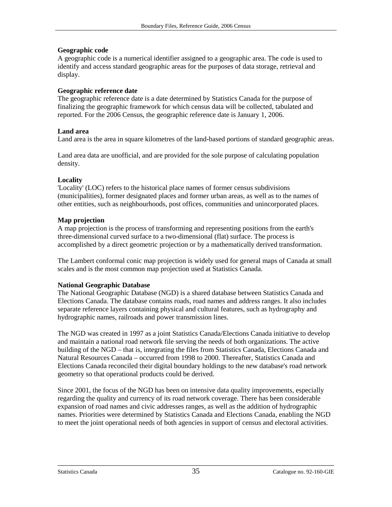#### **Geographic code**

A geographic code is a numerical identifier assigned to a geographic area. The code is used to identify and access standard geographic areas for the purposes of data storage, retrieval and display.

#### **Geographic reference date**

The geographic reference date is a date determined by Statistics Canada for the purpose of finalizing the geographic framework for which census data will be collected, tabulated and reported. For the 2006 Census, the geographic reference date is January 1, 2006.

#### **Land area**

Land area is the area in square kilometres of the land-based portions of standard geographic areas.

Land area data are unofficial, and are provided for the sole purpose of calculating population density.

#### **Locality**

'Locality' (LOC) refers to the historical place names of former census subdivisions (municipalities), former designated places and former urban areas, as well as to the names of other entities, such as neighbourhoods, post offices, communities and unincorporated places.

#### **Map projection**

A map projection is the process of transforming and representing positions from the earth's three-dimensional curved surface to a two-dimensional (flat) surface. The process is accomplished by a direct geometric projection or by a mathematically derived transformation.

The Lambert conformal conic map projection is widely used for general maps of Canada at small scales and is the most common map projection used at Statistics Canada.

#### **National Geographic Database**

The National Geographic Database (NGD) is a shared database between Statistics Canada and Elections Canada. The database contains roads, road names and address ranges. It also includes separate reference layers containing physical and cultural features, such as hydrography and hydrographic names, railroads and power transmission lines.

The NGD was created in 1997 as a joint Statistics Canada/Elections Canada initiative to develop and maintain a national road network file serving the needs of both organizations. The active building of the NGD – that is, integrating the files from Statistics Canada, Elections Canada and Natural Resources Canada – occurred from 1998 to 2000. Thereafter, Statistics Canada and Elections Canada reconciled their digital boundary holdings to the new database's road network geometry so that operational products could be derived.

Since 2001, the focus of the NGD has been on intensive data quality improvements, especially regarding the quality and currency of its road network coverage. There has been considerable expansion of road names and civic addresses ranges, as well as the addition of hydrographic names. Priorities were determined by Statistics Canada and Elections Canada, enabling the NGD to meet the joint operational needs of both agencies in support of census and electoral activities.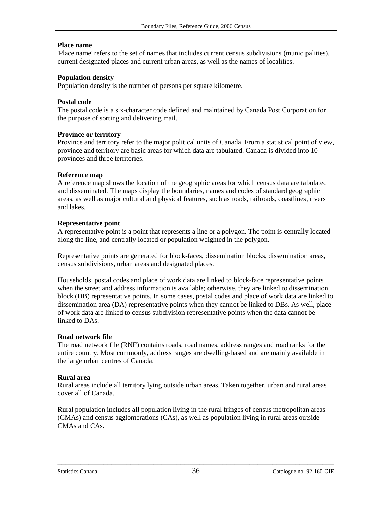#### **Place name**

'Place name' refers to the set of names that includes current census subdivisions (municipalities), current designated places and current urban areas, as well as the names of localities.

#### **Population density**

Population density is the number of persons per square kilometre.

#### **Postal code**

The postal code is a six-character code defined and maintained by Canada Post Corporation for the purpose of sorting and delivering mail.

#### **Province or territory**

Province and territory refer to the major political units of Canada. From a statistical point of view, province and territory are basic areas for which data are tabulated. Canada is divided into 10 provinces and three territories.

#### **Reference map**

A reference map shows the location of the geographic areas for which census data are tabulated and disseminated. The maps display the boundaries, names and codes of standard geographic areas, as well as major cultural and physical features, such as roads, railroads, coastlines, rivers and lakes.

#### **Representative point**

A representative point is a point that represents a line or a polygon. The point is centrally located along the line, and centrally located or population weighted in the polygon.

Representative points are generated for block-faces, dissemination blocks, dissemination areas, census subdivisions, urban areas and designated places.

Households, postal codes and place of work data are linked to block-face representative points when the street and address information is available; otherwise, they are linked to dissemination block (DB) representative points. In some cases, postal codes and place of work data are linked to dissemination area (DA) representative points when they cannot be linked to DBs. As well, place of work data are linked to census subdivision representative points when the data cannot be linked to DAs.

#### **Road network file**

The road network file (RNF) contains roads, road names, address ranges and road ranks for the entire country. Most commonly, address ranges are dwelling-based and are mainly available in the large urban centres of Canada.

#### **Rural area**

Rural areas include all territory lying outside urban areas. Taken together, urban and rural areas cover all of Canada.

Rural population includes all population living in the rural fringes of census metropolitan areas (CMAs) and census agglomerations (CAs), as well as population living in rural areas outside CMAs and CAs.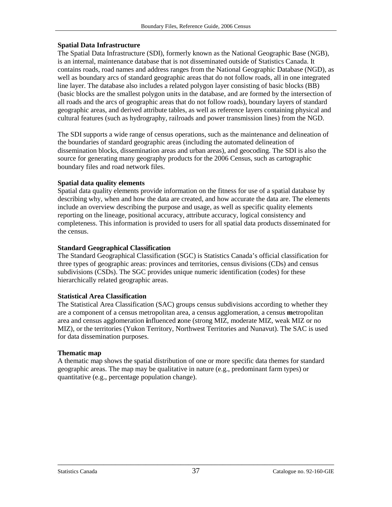#### **Spatial Data Infrastructure**

The Spatial Data Infrastructure (SDI), formerly known as the National Geographic Base (NGB), is an internal, maintenance database that is not disseminated outside of Statistics Canada. It contains roads, road names and address ranges from the National Geographic Database (NGD), as well as boundary arcs of standard geographic areas that do not follow roads, all in one integrated line layer. The database also includes a related polygon layer consisting of basic blocks (BB) (basic blocks are the smallest polygon units in the database, and are formed by the intersection of all roads and the arcs of geographic areas that do not follow roads), boundary layers of standard geographic areas, and derived attribute tables, as well as reference layers containing physical and cultural features (such as hydrography, railroads and power transmission lines) from the NGD.

The SDI supports a wide range of census operations, such as the maintenance and delineation of the boundaries of standard geographic areas (including the automated delineation of dissemination blocks, dissemination areas and urban areas), and geocoding. The SDI is also the source for generating many geography products for the 2006 Census, such as cartographic boundary files and road network files.

#### **Spatial data quality elements**

Spatial data quality elements provide information on the fitness for use of a spatial database by describing why, when and how the data are created, and how accurate the data are. The elements include an overview describing the purpose and usage, as well as specific quality elements reporting on the lineage, positional accuracy, attribute accuracy, logical consistency and completeness. This information is provided to users for all spatial data products disseminated for the census.

#### **Standard Geographical Classification**

The Standard Geographical Classification (SGC) is Statistics Canada's official classification for three types of geographic areas: provinces and territories, census divisions (CDs) and census subdivisions (CSDs). The SGC provides unique numeric identification (codes) for these hierarchically related geographic areas.

#### **Statistical Area Classification**

The Statistical Area Classification (SAC) groups census subdivisions according to whether they are a component of a census metropolitan area, a census agglomeration, a census **m**etropolitan area and census agglomeration **i**nfluenced **z**one (strong MIZ, moderate MIZ, weak MIZ or no MIZ), or the territories (Yukon Territory, Northwest Territories and Nunavut). The SAC is used for data dissemination purposes.

#### **Thematic map**

A thematic map shows the spatial distribution of one or more specific data themes for standard geographic areas. The map may be qualitative in nature (e.g., predominant farm types) or quantitative (e.g., percentage population change).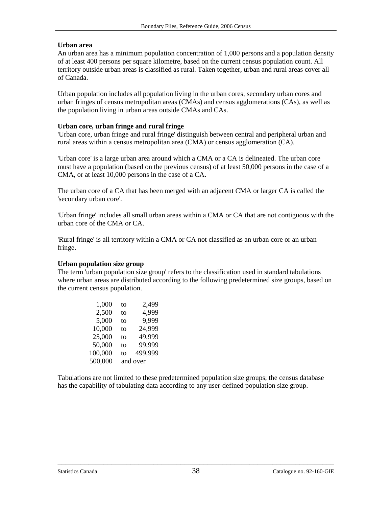#### **Urban area**

An urban area has a minimum population concentration of 1,000 persons and a population density of at least 400 persons per square kilometre, based on the current census population count. All territory outside urban areas is classified as rural. Taken together, urban and rural areas cover all of Canada.

Urban population includes all population living in the urban cores, secondary urban cores and urban fringes of census metropolitan areas (CMAs) and census agglomerations (CAs), as well as the population living in urban areas outside CMAs and CAs.

#### **Urban core, urban fringe and rural fringe**

'Urban core, urban fringe and rural fringe' distinguish between central and peripheral urban and rural areas within a census metropolitan area (CMA) or census agglomeration (CA).

'Urban core' is a large urban area around which a CMA or a CA is delineated. The urban core must have a population (based on the previous census) of at least 50,000 persons in the case of a CMA, or at least 10,000 persons in the case of a CA.

The urban core of a CA that has been merged with an adjacent CMA or larger CA is called the 'secondary urban core'.

'Urban fringe' includes all small urban areas within a CMA or CA that are not contiguous with the urban core of the CMA or CA.

'Rural fringe' is all territory within a CMA or CA not classified as an urban core or an urban fringe.

#### **Urban population size group**

The term 'urban population size group' refers to the classification used in standard tabulations where urban areas are distributed according to the following predetermined size groups, based on the current census population.

| to | 2,499    |
|----|----------|
| to | 4,999    |
| to | 9,999    |
| to | 24,999   |
| to | 49,999   |
| to | 99,999   |
| to | 499,999  |
|    | and over |
|    |          |

Tabulations are not limited to these predetermined population size groups; the census database has the capability of tabulating data according to any user-defined population size group.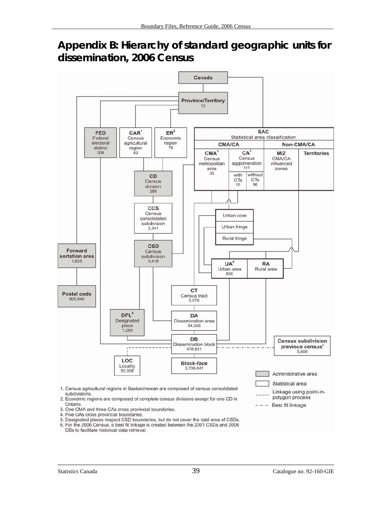# <span id="page-38-0"></span>**Appendix B: Hierarchy of standard geographic units for dissemination, 2006 Census**



4. Five UAs cross provincial boundaries.

5. Designated places respect CSD boundaries, but do not cover the total area of CSDs.

6. For the 2006 Census, a best fit linkage is created between the 2001 CSDs and 2006 DBs to facilitate historical data retrieval.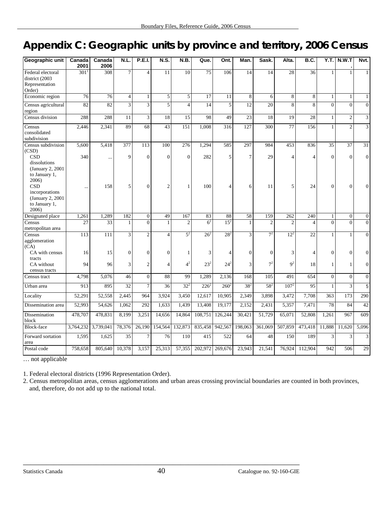# <span id="page-39-0"></span>**Appendix C: Geographic units by province and territory, 2006 Census**

| Geographic unit                                                                                                            | Canada<br>2001     | Canada<br>2006     | N.L                     | <b>P.E.I.</b>    | N.S.                    | N.B.            | Que.            | Ont.             | Man.                  | Sask.          | Alta.                 | B.C.                  | Y.T.                 | N.W.T                | Nvt.                 |
|----------------------------------------------------------------------------------------------------------------------------|--------------------|--------------------|-------------------------|------------------|-------------------------|-----------------|-----------------|------------------|-----------------------|----------------|-----------------------|-----------------------|----------------------|----------------------|----------------------|
| Federal electoral<br>district (2003<br>Representation<br>Order)                                                            | $301$ <sup>1</sup> | 308                | $\overline{7}$          | $\overline{4}$   | 11                      | 10              | $\overline{75}$ | 106              | 14                    | 14             | 28                    | 36                    | 1                    | $\mathbf{1}$         | $\mathbf{1}$         |
| Economic region                                                                                                            | 76                 | 76                 | $\overline{4}$          | 1                | 5                       | 5               | 17              | 11               | 8                     | 6              | 8                     | 8                     | 1                    | $\mathbf{1}$         | $\mathbf{1}$         |
| Census agricultural<br>region                                                                                              | 82                 | 82                 | $\overline{\mathbf{3}}$ | $\overline{3}$   | $\overline{5}$          | $\overline{4}$  | 14              | $\overline{5}$   | 12                    | 20             | $\overline{8}$        | 8                     | $\overline{0}$       | $\overline{0}$       | $\boldsymbol{0}$     |
| Census division                                                                                                            | 288                | 288                | 11                      | $\overline{3}$   | 18                      | 15              | 98              | 49               | $\overline{23}$       | 18             | 19                    | 28                    | $\mathbf{1}$         | $\sqrt{2}$           | $\mathfrak{Z}$       |
| Census<br>consolidated<br>subdivision                                                                                      | 2,446              | 2,341              | 89                      | 68               | 43                      | 151             | 1,008           | $\overline{316}$ | 127                   | 300            | 77                    | 156                   | $\mathbf{1}$         | $\overline{2}$       | $\overline{3}$       |
| Census subdivision<br>(CSD)<br><b>CSD</b><br>dissolutions                                                                  | 5,600<br>340       | 5,418<br>$\ddotsc$ | 377<br>9                | 113<br>$\theta$  | 100<br>$\theta$         | 276<br>$\theta$ | 1,294<br>282    | 585<br>5         | 297<br>$\overline{7}$ | 984<br>29      | 453<br>$\overline{4}$ | 836<br>$\overline{4}$ | 35<br>$\overline{0}$ | 37<br>$\overline{0}$ | 31<br>$\overline{0}$ |
| (January 2, 2001)<br>to January 1,<br>2006)<br><b>CSD</b><br>incorporations<br>(January 2, 2001)<br>to January 1,<br>2006) |                    | 158                | 5                       | $\Omega$         | $\overline{c}$          | 1               | 100             | 4                | 6                     | 11             | 5                     | 24                    | $\overline{0}$       | $\overline{0}$       | $\overline{0}$       |
| Designated place                                                                                                           | 1,261              | 1,289              | 182                     | $\boldsymbol{0}$ | 49                      | 167             | 83              | 88               | 58                    | 159            | 262                   | 240                   | $\mathbf{1}$         | $\boldsymbol{0}$     | $\boldsymbol{0}$     |
| Census<br>metropolitan area                                                                                                | 27                 | 33                 | $\mathbf{1}$            | $\overline{0}$   |                         | $\overline{2}$  | 6 <sup>2</sup>  | 15 <sup>2</sup>  | $\mathbf{1}$          | $\overline{c}$ | $\overline{c}$        | $\overline{4}$        | $\overline{0}$       | $\overline{0}$       | $\overline{0}$       |
| Census<br>agglomeration<br>(CA)                                                                                            | 113                | 111                | 3                       | $\overline{c}$   | $\overline{\mathbf{4}}$ | 5 <sup>2</sup>  | $26^{2}$        | $28^{2}$         | 3                     | 7 <sup>2</sup> | $12^{2}$              | 22                    | $\mathbf{1}$         | $\mathbf{1}$         | $\overline{0}$       |
| CA with census<br>tracts                                                                                                   | 16                 | 15                 | $\Omega$                | $\Omega$         | $\Omega$                | 1               | 3               | 4                | $\Omega$              | $\mathbf{0}$   | 3                     | $\overline{4}$        | $\overline{0}$       | $\mathbf{0}$         | $\overline{0}$       |
| CA without<br>census tracts                                                                                                | 94                 | 96                 | 3                       | $\overline{2}$   | $\Delta$                | 4 <sup>2</sup>  | $23^{2}$        | $24^{2}$         | 3                     | 7 <sup>2</sup> | $\mathbf{Q}^2$        | 18                    | $\mathbf{1}$         | $\mathbf{1}$         | $\overline{0}$       |
| Census tract                                                                                                               | 4,798              | 5,076              | 46                      | $\overline{0}$   | 88                      | 99              | 1,289           | 2,136            | 168                   | 105            | 491                   | 654                   | $\overline{0}$       | $\overline{0}$       | $\mathbf{0}$         |
| Urban area                                                                                                                 | 913                | 895                | 32                      | $\overline{7}$   | 36                      | $32^{2}$        | $226^2$         | $260^2$          | $38^{2}$              | $58^{2}$       | $107^{2}$             | 95                    | $\mathbf{1}$         | 3                    | 5                    |
| Locality                                                                                                                   | 52,291             | 52,558             | 2,445                   | 964              | 3,924                   | 3,450           | 12,617          | 10,905           | 2,349                 | 3,898          | 3,472                 | 7,708                 | 363                  | 173                  | 290                  |
| Dissemination area                                                                                                         | 52,993             | 54,626             | 1,062                   | 292              | 1,633                   | 1,439           | 13,408          | 19,177           | 2,152                 | 2,431          | 5,357                 | 7,471                 | 78                   | 84                   | 42                   |
| Dissemination<br>block                                                                                                     | 478,707            | 478.831            | 8,199                   | 3,251            | 14,656                  | 14,864          | 108,751         | 126,244          | 30.421                | 51,729         | 65,071                | 52,808                | 1.261                | 967                  | 609                  |
| Block-face                                                                                                                 | 3,764,232          | 3,739,041          | 78,376                  | 26,190           | 154,564                 | 132,873         |                 | 835,458 942,567  | 198,063               | 361,069        | 507,859               | 473,418               | 11,888               | 11,620               | 5,096                |
| Forward sortation<br>area                                                                                                  | 1,595              | 1,625              | $\overline{35}$         | $\tau$           | 76                      | 110             | 415             | 522              | 64                    | 48             | 150                   | 189                   | 3                    | 3                    | 3                    |
| Postal code                                                                                                                | 758,658            | 805,640            | 10,378                  | 3,157            | 25,313                  | 57,355          |                 | 202,972 269,676  | 23,943                | 21,541         | 76,924                | 112,904               | 942                  | 506                  | 29                   |

… not applicable

1. Federal electoral districts (1996 Representation Order).

2. Census metropolitan areas, census agglomerations and urban areas crossing provincial boundaries are counted in both provinces, and, therefore, do not add up to the national total.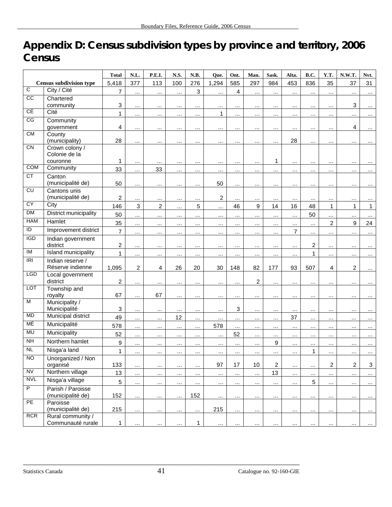# <span id="page-40-0"></span>**Appendix D: Census subdivision types by province and territory, 2006 Census**

|                  |                                        | <b>Total</b>            | N.L.             | P.E.I.         | N.S.     | N.B.         | Oue.           | Ont.      | Man.             | Sask.          | Alta.          | B.C.            | Y.T.                 | N.W.T.                  | Nvt.         |
|------------------|----------------------------------------|-------------------------|------------------|----------------|----------|--------------|----------------|-----------|------------------|----------------|----------------|-----------------|----------------------|-------------------------|--------------|
|                  | <b>Census subdivision type</b>         | 5,418                   | 377              | 113            | 100      | 276          | 1,294          | 585       | 297              | 984            | 453            | 836             | 35                   | 37                      | 31           |
| $\overline{c}$   | City / Cité                            | $\overline{7}$          | $\cdots$         | $\cdots$       |          | $\mathbf{3}$ |                | 4         |                  | $\cdots$       | $\cdots$       |                 | $\cdots$             |                         | $\cdots$     |
| cc               | Chartered                              |                         |                  |                |          |              |                |           |                  |                |                |                 |                      |                         |              |
| CÉ               | community                              | 3                       | $\cdots$         | $\cdots$       | $\cdots$ | $\cdots$     | $\cdots$       | $\cdots$  | $\cdots$         | $\cdots$       | $\cdots$       | $\cdots$        | $\cdots$             | 3                       | $\cdots$     |
| CG               | Cité                                   | $\mathbf{1}$            | $\cdots$         | $\cdots$       | $\cdots$ | $\cdots$     | $\mathbf{1}$   | $\cdots$  | $\cdots$         | $\cdots$       | $\cdots$       | $\cdots$        | $\cdots$             | $\cdots$                | $\cdots$     |
|                  | Community<br>government                | 4                       | $\cdots$         | $\cdots$       | $\cdots$ | $\cdots$     | $\cdots$       |           | $\cdots$         | $\cdots$       | $\cdots$       | $\cdots$        | $\cdots$             | 4                       | $\cdots$     |
| <b>CM</b>        | County<br>(municipality)               | 28                      | $\cdots$         | $\ddotsc$      |          | $\cdots$     | $\ddotsc$      | $\ddotsc$ | $\cdots$         | $\cdots$       | 28             |                 |                      |                         |              |
| $\overline{C}N$  | Crown colony /                         |                         |                  |                |          |              |                |           |                  |                |                |                 |                      |                         |              |
|                  | Colonie de la                          |                         |                  |                |          |              |                |           |                  |                |                |                 |                      |                         |              |
|                  | couronne                               | 1                       | $\cdots$         |                |          | $\ddotsc$    | $\cdots$       | $\ddotsc$ | $\cdots$         | 1              | $\cdots$       | $\ddotsc$       | $\ddot{\phantom{a}}$ |                         |              |
| <b>COM</b>       | Community                              | 33                      | $\cdots$         | 33             | $\cdots$ | $\cdots$     | $\cdots$       | $\cdots$  | $\cdots$         | $\cdots$       | $\cdots$       | $\cdots$        |                      |                         | $\cdots$     |
| CT               | Canton<br>(municipalité de)            | 50                      | $\cdots$         | $\cdots$       |          | $\ddotsc$    | 50             | $\cdots$  |                  |                |                |                 |                      |                         |              |
| $\overline{c}$   | Cantons unis                           |                         |                  |                |          |              |                |           |                  |                |                |                 |                      |                         |              |
|                  | (municipalité de)                      | $\overline{\mathbf{c}}$ | $\cdots$         | $\cdots$       | $\cdots$ | $\cdots$     | $\overline{c}$ | $\ldots$  | $\cdots$         | $\cdots$       | $\cdots$       | $\ldots$        | $\cdots$             |                         |              |
| CY               | City                                   | 146                     | $\mathbf{3}$     | $\overline{c}$ | $\cdots$ | 5            | $\cdots$       | 46        | $\boldsymbol{9}$ | 14             | 16             | 48              | $\mathbf{1}$         | 1                       | $\mathbf{1}$ |
| <b>DM</b>        | <b>District municipality</b>           | 50                      | $\cdots$         | $\cdots$       | $\cdots$ | $\cdots$     | $\cdots$       | $\cdots$  | $\ddotsc$        |                | $\cdots$       | 50              | $\cdots$             |                         | $\cdots$     |
| <b>HAM</b>       | Hamlet                                 | 35                      | $\cdots$         | $\cdots$       | $\cdots$ | $\cdots$     |                |           | $\cdots$         |                | .              |                 | $\overline{c}$       | 9                       | 24           |
| $\overline{D}$   | Improvement district                   | $\overline{7}$          | $\cdots$         | $\cdots$       |          | $\cdots$     | $\cdots$       | $\cdots$  | $\cdots$         |                | $\overline{7}$ |                 | $\cdots$             |                         | $\cdots$     |
| $\overline{IGD}$ | Indian government<br>district          | $\overline{c}$          |                  |                |          | $\ddotsc$    |                | $\cdots$  | $\cdots$         |                | $\cdots$       | $\overline{2}$  | $\cdots$             |                         | $\cdots$     |
| IM               | Island municipality                    | $\mathbf{1}$            | $\cdots$         |                |          |              |                |           |                  |                |                | 1               |                      |                         |              |
| IRI              | Indian reserve /                       |                         | $\cdots$         | $\cdots$       |          | $\cdots$     |                |           |                  | $\cdots$       | $\cdots$       |                 | $\cdots$             |                         |              |
|                  | Réserve indienne                       | 1,095                   | $\boldsymbol{2}$ | $\overline{4}$ | 26       | 20           | 30             | 148       | 82               | 177            | 93             | 507             | $\overline{4}$       | $\overline{\mathbf{c}}$ | $\cdots$     |
| LGD              | Local government                       |                         |                  |                |          |              |                |           |                  |                |                |                 |                      |                         |              |
|                  | district                               | $\overline{c}$          | $\cdots$         | $\cdots$       | $\cdots$ |              |                | $\cdots$  | $\overline{c}$   | $\cdots$       | $\cdots$       |                 |                      |                         | $\cdots$     |
| <b>LOT</b>       | Township and<br>royalty                | 67                      | $\cdots$         | 67             |          | $\cdots$     |                | $\cdots$  | $\cdots$         | $\cdots$       | $\cdots$       |                 |                      |                         |              |
| M                | Municipality /                         |                         |                  |                |          |              |                |           |                  |                |                |                 |                      |                         |              |
|                  | Municipalité                           | 3                       | $\ldots$         | $\cdots$       | $\cdots$ |              | $\cdots$       | 3         | $\cdots$         | $\cdots$       | $\cdots$       | $\cdots$        | $\cdots$             | $\cdots$                | $\cdots$     |
| <b>MD</b>        | Municipal district                     | 49                      | $\ldots$         | $\cdots$       | 12       | $\cdots$     | $\cdots$       | $\cdots$  | $\cdots$         |                | 37             | $\cdots$        | $\cdots$             |                         | $\cdots$     |
| МÉ               | Municipalité                           | 578                     | $\cdots$         | $\cdots$       |          | $\cdots$     | 578            | $\cdots$  | $\cdots$         |                | $\cdots$       | $\cdots$        |                      |                         |              |
| <b>MU</b>        | Municipality                           | 52                      | $\cdots$         | $\cdots$       | $\cdots$ | $\cdots$     |                | 52        | $\cdots$         | $\cdots$       | $\cdots$       | $\cdots$        | $\cdots$             |                         |              |
| <b>NH</b>        | Northern hamlet                        | 9                       | $\cdots$         | $\cdots$       | $\cdots$ | $\cdots$     | $\cdots$       | $\cdots$  | $\cdots$         | 9              | $\cdots$       |                 | $\cdots$             | $\cdots$                | $\cdots$     |
| <b>NL</b>        | Nisga'a land                           | $\mathbf{1}$            | $\cdots$         | $\cdots$       | $\cdots$ | $\cdots$     | $\cdots$       |           | $\cdots$         | $\cdots$       | $\cdots$       | 1               |                      | $\cdots$                |              |
| NO.              | Unorganized / Non<br>organisé          | 133                     | $\cdots$         | $\cdots$       |          | $\cdots$     | 97             | 17        | 10 <sup>°</sup>  | $\overline{2}$ |                | $\cdots$        | $\overline{a}$       | $\overline{2}$          | 3            |
| <b>NV</b>        | Northern village                       | 13                      | $\cdots$         | $\cdots$       |          | $\cdots$     | $\cdots$       | $\cdots$  | $\cdots$         | 13             |                |                 | $\cdots$             |                         |              |
| <b>NVL</b>       | Nisga'a village                        | $\sqrt{5}$              | $\ldots$         | $\cdots$       | $\cdots$ | $\cdots$     | $\cdots$       | $\cdots$  | $\cdots$         | $\cdots$       | $\cdots$       | $5\phantom{.0}$ | $\cdots$             |                         | $\cdots$     |
| $\overline{P}$   | Parish / Paroisse                      |                         |                  |                |          |              |                |           |                  |                |                |                 |                      |                         |              |
|                  | (municipalité de)                      | 152                     | $\cdots$         | $\cdots$       |          | 152          | $\cdots$       | $\cdots$  | $\cdots$         |                |                |                 |                      |                         | $\cdots$     |
| PE               | Paroisse                               |                         |                  |                |          |              |                |           |                  |                |                |                 |                      |                         |              |
| <b>RCR</b>       | (municipalité de)<br>Rural community / | 215                     | $\cdots$         | $\cdots$       | $\cdots$ | $\ldots$     | 215            | $\cdots$  | $\cdots$         | $\cdots$       | $\cdots$       | $\cdots$        | $\cdots$             | $\cdots$                | $\cdots$     |
|                  | Communauté rurale                      | 1                       |                  |                |          | 1            |                |           |                  | $\cdots$       | $\cdots$       |                 |                      | $\cdots$                | $\cdots$     |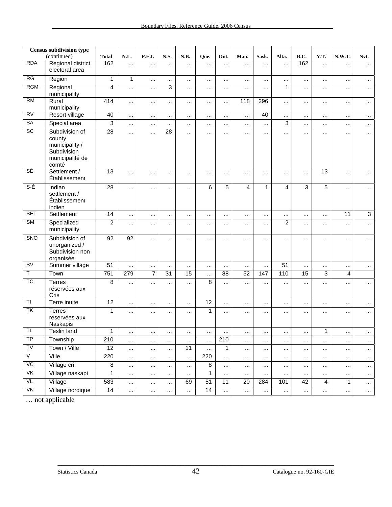| <b>Census subdivision type</b> |                                                                                       |                 |          |                |           |           |                 |              |                         |              |                |                 |              |           |                |
|--------------------------------|---------------------------------------------------------------------------------------|-----------------|----------|----------------|-----------|-----------|-----------------|--------------|-------------------------|--------------|----------------|-----------------|--------------|-----------|----------------|
| <b>RDA</b>                     | (continued)                                                                           | <b>Total</b>    | N.L.     | P.E.I.         | N.S.      | N.B.      | Que.            | Ont.         | Man.                    | Sask.        | Alta.          | B.C.            | Y.T.         | N.W.T.    | Nvt.           |
|                                | Regional district<br>electoral area                                                   | 162             | $\cdots$ |                |           | .         |                 | $\cdots$     | $\cdots$                | $\cdots$     | $\cdots$       | 162             | $\cdots$     |           | $\cdots$       |
| RG                             | Region                                                                                | $\mathbf{1}$    | 1        |                |           |           |                 |              |                         |              |                |                 |              |           | $\cdots$       |
| <b>RGM</b>                     | Regional<br>municipality                                                              | $\overline{4}$  | $\cdots$ |                | 3         | $\cdots$  | $\cdots$        | $\cdots$     | $\cdots$                |              | $\mathbf{1}$   |                 | $\ldots$     |           | $\cdots$       |
| <b>RM</b>                      | Rural<br>municipality                                                                 | 414             | $\cdots$ |                |           | $\cdots$  | $\cdots$        | $\cdots$     | 118                     | 296          |                | $\ddotsc$       | $\cdots$     | $\cdots$  | $\cdots$       |
| <b>RV</b>                      | Resort village                                                                        | 40              | $\cdots$ |                | $\ddotsc$ |           | $\cdots$        | $\cdots$     | $\cdots$                | 40           |                |                 | $\cdots$     |           | $\cdots$       |
| SA                             | Special area                                                                          | 3               | $\cdots$ |                | $\cdots$  | $\cdots$  | $\cdots$        | $\cdots$     | $\cdots$                |              | $\overline{3}$ |                 | $\cdots$     | $\cdots$  |                |
| SC                             | Subdivision of<br>county<br>municipality /<br>Subdivision<br>municipalité de<br>comté | 28              | $\cdots$ | $\cdots$       | 28        |           | $\cdots$        | $\cdots$     | $\cdots$                | $\cdots$     |                |                 | $\ldots$     | $\cdots$  | $\cdots$       |
| SÉ                             | Settlement /<br>Établissement                                                         | 13              | $\cdots$ | $\cdots$       | $\ddotsc$ | $\ddotsc$ |                 | $\cdots$     |                         |              |                |                 | 13           |           | $\cdots$       |
| S-É                            | Indian<br>settlement /<br>Établissement<br>indien                                     | $\overline{28}$ |          | $\cdots$       |           |           | 6               | 5            | $\overline{\mathbf{4}}$ | $\mathbf{1}$ | $\overline{4}$ | 3               | 5            |           | $\cdots$       |
| <b>SET</b>                     | Settlement                                                                            | 14              | $\cdots$ |                | $\cdots$  | $\cdots$  | $\cdots$        | $\cdots$     | $\cdots$                |              |                |                 | $\ldots$     | 11        | $\overline{3}$ |
| <b>SM</b>                      | Specialized<br>municipality                                                           | $\overline{c}$  | $\cdots$ |                | $\cdots$  | $\cdots$  |                 | $\cdots$     |                         | $\cdots$     | $\overline{c}$ |                 | $\cdots$     | .         | $\cdots$       |
| SNO                            | Subdivision of<br>unorganized /<br>Subdivision non<br>organisée                       | 92              | 92       | $\cdots$       | $\cdots$  | $\cdots$  |                 | $\cdots$     |                         | $\cdots$     | $\cdots$       |                 |              | $\ddotsc$ | $\cdots$       |
| SV                             | Summer village                                                                        | $\overline{51}$ | $\cdots$ | $\ddotsc$      | $\cdots$  | $\cdots$  | $\cdots$        | $\cdots$     | $\cdots$                |              | 51             |                 | $\cdots$     |           | $\cdots$       |
| Τ                              | Town                                                                                  | 751             | 279      | $\overline{7}$ | 31        | 15        |                 | 88           | 52                      | 147          | 110            | $\overline{15}$ | $\mathbf{3}$ | 4         |                |
| <b>TC</b>                      | <b>Terres</b><br>réservées aux<br>Cris                                                | 8               |          | $\cdots$       |           | $\cdots$  | 8               |              |                         |              | $\ddotsc$      |                 | $\cdots$     | .         | $\cdots$       |
| T1                             | Terre inuite                                                                          | $\overline{12}$ | $\cdots$ |                |           | $\cdots$  | $\overline{12}$ | $\cdots$     |                         | $\cdots$     | $\cdots$       | $\cdots$        | $\cdots$     | $\cdots$  | $\cdots$       |
| TK                             | <b>Terres</b><br>réservées aux<br>Naskapis                                            | $\mathbf{1}$    | $\cdots$ | $\cdots$       | $\cdots$  |           | 1               |              | $\cdots$                | $\cdots$     | $\cdots$       |                 | $\cdots$     | .         | $\cdots$       |
| <b>TL</b>                      | Teslin land                                                                           | 1               |          |                |           |           |                 |              |                         |              |                |                 | 1            |           |                |
| TP                             | Township                                                                              | 210             | $\cdots$ | $\cdots$       |           | $\cdots$  | $\cdots$        | 210          | $\ddotsc$               |              |                | $\cdots$        | $\ldots$     | $\cdots$  | $\cdots$       |
| TV                             | Town / Ville                                                                          | 12              | $\cdots$ | $\ddotsc$      | $\cdots$  | 11        | $\cdots$        | $\mathbf{1}$ | $\cdots$                | $\ddotsc$    |                |                 |              |           | $\cdots$       |
| $\sqrt{}$                      | Ville                                                                                 | 220             | $\cdots$ | $\cdots$       | $\cdots$  | $\cdots$  | 220             | $\cdots$     | $\cdots$                | $\cdots$     |                | $\cdots$        | $\ldots$     | $\cdots$  | $\cdots$       |
| VC                             | Village cri                                                                           | $\bf8$          | $\cdots$ | $\cdots$       | $\cdots$  | $\cdots$  | 8               | $\cdots$     |                         | $\cdots$     |                | $\cdots$        | $\cdots$     |           | $\cdots$       |
| VK                             | Village naskapi                                                                       | 1               | $\cdots$ | $\cdots$       | $\cdots$  |           | 1               | $\cdots$     | $\cdots$                | $\cdots$     |                | $\cdots$        | $\cdots$     |           | $\cdots$       |
| VL                             | Village                                                                               | 583             | $\cdots$ | $\cdots$       | $\cdots$  | 69        | $\overline{51}$ | 11           | 20                      | 284          | 101            | 42              | 4            | 1         | $\cdots$       |
| VN                             | Village nordique                                                                      | 14              | $\cdots$ | $\cdots$       | $\cdots$  | $\cdots$  | $\overline{14}$ | $\cdots$     |                         | $\cdots$     | $\cdots$       | $\cdots$        | $\cdots$     |           | $\cdots$       |

… not applicable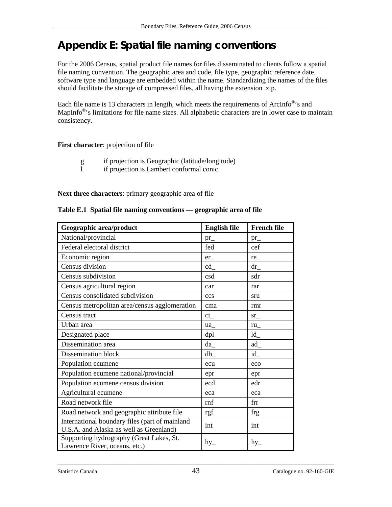# <span id="page-42-0"></span>**Appendix E: Spatial file naming conventions**

For the 2006 Census, spatial product file names for files disseminated to clients follow a spatial file naming convention. The geographic area and code, file type, geographic reference date, software type and language are embedded within the name. Standardizing the names of the files should facilitate the storage of compressed files, all having the extension .zip.

Each file name is 13 characters in length, which meets the requirements of ArcInfo<sup>®</sup>'s and MapInfo<sup>®</sup>'s limitations for file name sizes. All alphabetic characters are in lower case to maintain consistency.

#### **First character**: projection of file

- g if projection is Geographic (latitude/longitude)<br>
1 if projection is Lambert conformal conic
- if projection is Lambert conformal conic

#### **Next three characters**: primary geographic area of file

|  |  | Table E.1 Spatial file naming conventions — geographic area of file |  |
|--|--|---------------------------------------------------------------------|--|
|  |  |                                                                     |  |

| Geographic area/product                                                                   | <b>English file</b> | <b>French file</b> |
|-------------------------------------------------------------------------------------------|---------------------|--------------------|
| National/provincial                                                                       | $pr_{-}$            | $pr_{-}$           |
| Federal electoral district                                                                | fed                 | cef                |
| Economic region                                                                           | er                  | re                 |
| Census division                                                                           | cd                  | dr                 |
| Census subdivision                                                                        | csd                 | sdr                |
| Census agricultural region                                                                | car                 | rar                |
| Census consolidated subdivision                                                           | ccs                 | sru                |
| Census metropolitan area/census agglomeration                                             | cma                 | rmr                |
| Census tract                                                                              | $ct_{-}$            | $sr_{-}$           |
| Urban area                                                                                | ua_                 | ru                 |
| Designated place                                                                          | dpl                 | $ld_$              |
| Dissemination area                                                                        | da                  | ad                 |
| Dissemination block                                                                       | db                  | id                 |
| Population ecumene                                                                        | ecu                 | eco                |
| Population ecumene national/provincial                                                    | epr                 | epr                |
| Population ecumene census division                                                        | ecd                 | edr                |
| Agricultural ecumene                                                                      | eca                 | eca                |
| Road network file                                                                         | rnf                 | frr                |
| Road network and geographic attribute file                                                | rgf                 | frg                |
| International boundary files (part of mainland<br>U.S.A. and Alaska as well as Greenland) | int                 | int                |
| Supporting hydrography (Great Lakes, St.<br>Lawrence River, oceans, etc.)                 | $hy_$               | $hy_$              |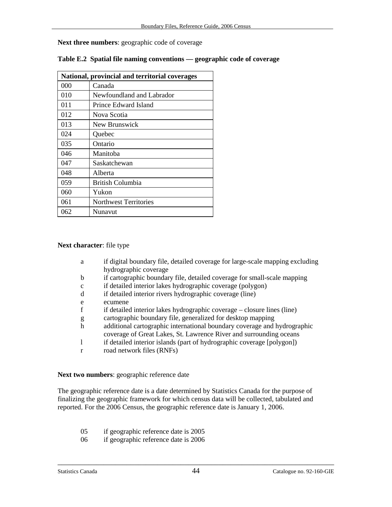**Next three numbers**: geographic code of coverage

| National, provincial and territorial coverages |                              |  |  |  |
|------------------------------------------------|------------------------------|--|--|--|
| 000                                            | Canada                       |  |  |  |
| 010                                            | Newfoundland and Labrador    |  |  |  |
| 011                                            | Prince Edward Island         |  |  |  |
| 012                                            | Nova Scotia                  |  |  |  |
| 013                                            | New Brunswick                |  |  |  |
| 024                                            | Quebec                       |  |  |  |
| 035                                            | Ontario                      |  |  |  |
| 046                                            | Manitoba                     |  |  |  |
| 047                                            | Saskatchewan                 |  |  |  |
| 048                                            | Alberta                      |  |  |  |
| 059                                            | British Columbia             |  |  |  |
| 060                                            | Yukon                        |  |  |  |
| 061                                            | <b>Northwest Territories</b> |  |  |  |
| 062                                            | Nunavut                      |  |  |  |

|  |  | Table E.2 Spatial file naming conventions — geographic code of coverage |
|--|--|-------------------------------------------------------------------------|
|  |  |                                                                         |

#### **Next character**: file type

- a if digital boundary file, detailed coverage for large-scale mapping excluding hydrographic coverage
- b if cartographic boundary file, detailed coverage for small-scale mapping
- c if detailed interior lakes hydrographic coverage (polygon)
- d if detailed interior rivers hydrographic coverage (line)
- e ecumene
- f if detailed interior lakes hydrographic coverage closure lines (line)
- g cartographic boundary file, generalized for desktop mapping
- h additional cartographic international boundary coverage and hydrographic coverage of Great Lakes, St. Lawrence River and surrounding oceans
- l if detailed interior islands (part of hydrographic coverage [polygon])
- r road network files (RNFs)

#### **Next two numbers**: geographic reference date

The geographic reference date is a date determined by Statistics Canada for the purpose of finalizing the geographic framework for which census data will be collected, tabulated and reported. For the 2006 Census, the geographic reference date is January 1, 2006.

- 05 if geographic reference date is 2005
- 06 if geographic reference date is 2006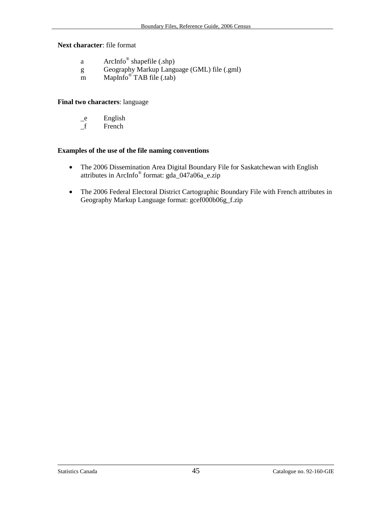**Next character**: file format

- a ArcInfo® shapefile (.shp)
- g Geography Markup Language (GML) file (.gml)
- m MapInfo $\overset{\circ}{\circ}$ TAB file (.tab)

#### **Final two characters**: language

- \_e English
- \_f French

#### **Examples of the use of the file naming conventions**

- The 2006 Dissemination Area Digital Boundary File for Saskatchewan with English attributes in ArcInfo® format: gda\_047a06a\_e.zip
- The 2006 Federal Electoral District Cartographic Boundary File with French attributes in Geography Markup Language format: gcef000b06g\_f.zip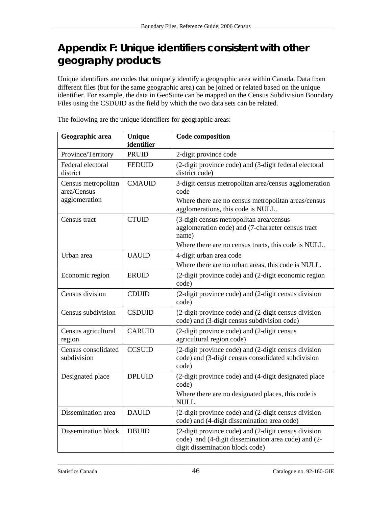# <span id="page-45-0"></span>**Appendix F: Unique identifiers consistent with other geography products**

Unique identifiers are codes that uniquely identify a geographic area within Canada. Data from different files (but for the same geographic area) can be joined or related based on the unique identifier. For example, the data in GeoSuite can be mapped on the Census Subdivision Boundary Files using the CSDUID as the field by which the two data sets can be related.

| Geographic area                                     | <b>Unique</b><br>identifier | <b>Code composition</b>                                                                                                                                        |
|-----------------------------------------------------|-----------------------------|----------------------------------------------------------------------------------------------------------------------------------------------------------------|
| Province/Territory                                  | <b>PRUID</b>                | 2-digit province code                                                                                                                                          |
| Federal electoral<br>district                       | <b>FEDUID</b>               | (2-digit province code) and (3-digit federal electoral<br>district code)                                                                                       |
| Census metropolitan<br>area/Census<br>agglomeration | <b>CMAUID</b>               | 3-digit census metropolitan area/census agglomeration<br>code<br>Where there are no census metropolitan areas/census<br>agglomerations, this code is NULL.     |
| Census tract                                        | <b>CTUID</b>                | (3-digit census metropolitan area/census<br>agglomeration code) and (7-character census tract<br>name)<br>Where there are no census tracts, this code is NULL. |
| Urban area                                          | <b>UAUID</b>                | 4-digit urban area code                                                                                                                                        |
|                                                     |                             | Where there are no urban areas, this code is NULL.                                                                                                             |
| Economic region                                     | <b>ERUID</b>                | (2-digit province code) and (2-digit economic region<br>code)                                                                                                  |
| Census division                                     | <b>CDUID</b>                | (2-digit province code) and (2-digit census division<br>code)                                                                                                  |
| Census subdivision                                  | <b>CSDUID</b>               | (2-digit province code) and (2-digit census division<br>code) and (3-digit census subdivision code)                                                            |
| Census agricultural<br>region                       | <b>CARUID</b>               | (2-digit province code) and (2-digit census<br>agricultural region code)                                                                                       |
| Census consolidated<br>subdivision                  | <b>CCSUID</b>               | (2-digit province code) and (2-digit census division<br>code) and (3-digit census consolidated subdivision<br>code)                                            |
| Designated place                                    | <b>DPLUID</b>               | (2-digit province code) and (4-digit designated place<br>code)<br>Where there are no designated places, this code is<br>NULL.                                  |
| Dissemination area                                  | <b>DAUID</b>                | (2-digit province code) and (2-digit census division<br>code) and (4-digit dissemination area code)                                                            |
| Dissemination block                                 | <b>DBUID</b>                | (2-digit province code) and (2-digit census division<br>code) and (4-digit dissemination area code) and (2-<br>digit dissemination block code)                 |

The following are the unique identifiers for geographic areas: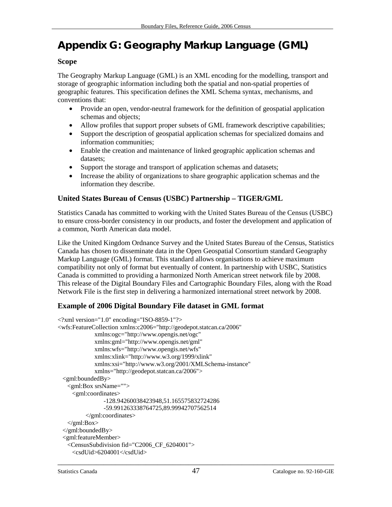# <span id="page-46-0"></span>**Appendix G: Geography Markup Language (GML)**

# **Scope**

The Geography Markup Language (GML) is an XML encoding for the modelling, transport and storage of geographic information including both the spatial and non-spatial properties of geographic features. This specification defines the XML Schema syntax, mechanisms, and conventions that:

- Provide an open, vendor-neutral framework for the definition of geospatial application schemas and objects;
- Allow profiles that support proper subsets of GML framework descriptive capabilities;
- Support the description of geospatial application schemas for specialized domains and information communities;
- Enable the creation and maintenance of linked geographic application schemas and datasets;
- Support the storage and transport of application schemas and datasets;
- Increase the ability of organizations to share geographic application schemas and the information they describe.

# **United States Bureau of Census (USBC) Partnership – TIGER/GML**

Statistics Canada has committed to working with the United States Bureau of the Census (USBC) to ensure cross-border consistency in our products, and foster the development and application of a common, North American data model.

Like the United Kingdom Ordnance Survey and the United States Bureau of the Census, Statistics Canada has chosen to disseminate data in the Open Geospatial Consortium standard Geography Markup Language (GML) format. This standard allows organisations to achieve maximum compatibility not only of format but eventually of content. In partnership with USBC, Statistics Canada is committed to providing a harmonized North American street network file by 2008. This release of the Digital Boundary Files and Cartographic Boundary Files, along with the Road Network File is the first step in delivering a harmonized international street network by 2008.

# **Example of 2006 Digital Boundary File dataset in GML format**

```
\langle 2xml version="1.0" encoding="ISO-8859-1"?>
<wfs:FeatureCollection xmlns:c2006="http://geodepot.statcan.ca/2006" 
              xmlns:ogc="http://www.opengis.net/ogc" 
              xmlns:gml="http://www.opengis.net/gml" 
              xmlns:wfs="http://www.opengis.net/wfs" 
              xmlns:xlink="http://www.w3.org/1999/xlink" 
              xmlns:xsi="http://www.w3.org/2001/XMLSchema-instance" 
              xmlns="http://geodepot.statcan.ca/2006"> 
  <gml:boundedBy> 
    <gml:Box srsName=""> 
      <gml:coordinates> 
                 -128.94260038423948,51.165575832724286 
                 -59.991263338764725,89.99942707562514 
           </gml:coordinates> 
    </gml:Box> 
  </gml:boundedBy> 
  <gml:featureMember> 
    <CensusSubdivision fid="C2006_CF_6204001"> 
      <csdUid>6204001</csdUid>
```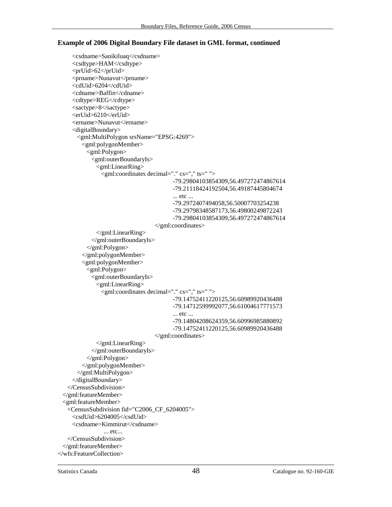#### **Example of 2006 Digital Boundary File dataset in GML format, continued**

```
 <csdname>Sanikiluaq</csdname> 
      <csdtype>HAM</csdtype> 
      <prUid>62</prUid> 
      <prname>Nunavut</prname> 
      <cdUid>6204</cdUid> 
      <cdname>Baffin</cdname> 
      <cdtype>REG</cdtype> 
      <sactype>8</sactype> 
      <erUid>6210</erUid> 
      <ername>Nunavut</ername> 
      <digitalBoundary> 
        <gml:MultiPolygon srsName="EPSG:4269"> 
         <gml:polygonMember> 
           <gml:Polygon> 
             <gml:outerBoundaryIs> 
               <gml:LinearRing> 
                <gml:coordinates decimal="." cs="," ts=" "> 
                                           -79.29804103854309,56.497272474867614 
                                           -79.21118424192504,56.49187445804674 
                                           ... etc ... 
                                           -79.2972407494058,56.50007703254238 
                                           -79.29798348587173,56.49800249872243 
                                           -79.29804103854309,56.497272474867614 
                                    </gml:coordinates> 
               </gml:LinearRing> 
             </gml:outerBoundaryIs> 
           </gml:Polygon> 
         </gml:polygonMember> 
          <gml:polygonMember> 
           <gml:Polygon> 
             <gml:outerBoundaryIs> 
               <gml:LinearRing> 
                 <gml:coordinates decimal="." cs="," ts=" "> 
                                           -79.14752411220125,56.60989920436488 
                                           -79.14712599992077,56.61004617771573 
                                           ... etc ... 
                                           -79.14804208624359,56.60996985880892 
                                           -79.14752411220125,56.60989920436488 
                                    </gml:coordinates> 
               </gml:LinearRing> 
             </gml:outerBoundaryIs> 
           </gml:Polygon> 
         </gml:polygonMember> 
        </gml:MultiPolygon> 
      </digitalBoundary> 
    </CensusSubdivision> 
  </gml:featureMember> 
  <gml:featureMember> 
    <CensusSubdivision fid="C2006_CF_6204005"> 
      <csdUid>6204005</csdUid> 
      <csdname>Kimmirut</csdname> 
                 ... etc... 
    </CensusSubdivision> 
  </gml:featureMember> 
</wfs:FeatureCollection>
```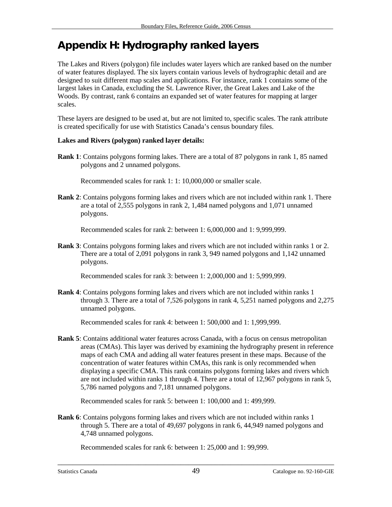# <span id="page-48-0"></span>**Appendix H: Hydrography ranked layers**

The Lakes and Rivers (polygon) file includes water layers which are ranked based on the number of water features displayed. The six layers contain various levels of hydrographic detail and are designed to suit different map scales and applications. For instance, rank 1 contains some of the largest lakes in Canada, excluding the St. Lawrence River, the Great Lakes and Lake of the Woods. By contrast, rank 6 contains an expanded set of water features for mapping at larger scales.

These layers are designed to be used at, but are not limited to, specific scales. The rank attribute is created specifically for use with Statistics Canada's census boundary files.

#### **Lakes and Rivers (polygon) ranked layer details:**

**Rank 1**: Contains polygons forming lakes. There are a total of 87 polygons in rank 1, 85 named polygons and 2 unnamed polygons.

Recommended scales for rank 1: 1: 10,000,000 or smaller scale.

**Rank 2**: Contains polygons forming lakes and rivers which are not included within rank 1. There are a total of 2,555 polygons in rank 2, 1,484 named polygons and 1,071 unnamed polygons.

Recommended scales for rank 2: between 1: 6,000,000 and 1: 9,999,999.

**Rank 3**: Contains polygons forming lakes and rivers which are not included within ranks 1 or 2. There are a total of 2,091 polygons in rank 3, 949 named polygons and 1,142 unnamed polygons.

Recommended scales for rank 3: between 1: 2,000,000 and 1: 5,999,999.

**Rank 4**: Contains polygons forming lakes and rivers which are not included within ranks 1 through 3. There are a total of 7,526 polygons in rank 4, 5,251 named polygons and 2,275 unnamed polygons.

Recommended scales for rank 4: between 1: 500,000 and 1: 1,999,999.

**Rank 5**: Contains additional water features across Canada, with a focus on census metropolitan areas (CMAs). This layer was derived by examining the hydrography present in reference maps of each CMA and adding all water features present in these maps. Because of the concentration of water features within CMAs, this rank is only recommended when displaying a specific CMA. This rank contains polygons forming lakes and rivers which are not included within ranks 1 through 4. There are a total of 12,967 polygons in rank 5, 5,786 named polygons and 7,181 unnamed polygons.

Recommended scales for rank 5: between 1: 100,000 and 1: 499,999.

**Rank 6**: Contains polygons forming lakes and rivers which are not included within ranks 1 through 5. There are a total of 49,697 polygons in rank 6, 44,949 named polygons and 4,748 unnamed polygons.

Recommended scales for rank 6: between 1: 25,000 and 1: 99,999.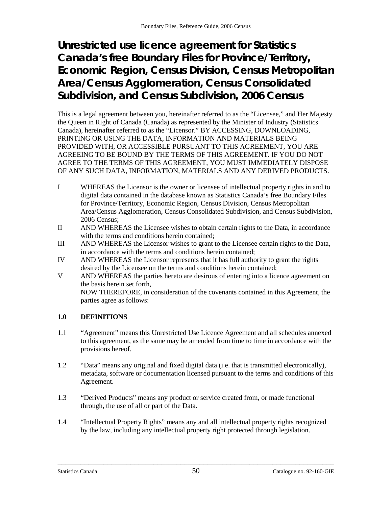# <span id="page-49-0"></span>**Unrestricted use licence agreement for Statistics Canada's free Boundary Files for Province/Territory, Economic Region, Census Division, Census Metropolitan Area/Census Agglomeration, Census Consolidated Subdivision, and Census Subdivision, 2006 Census**

This is a legal agreement between you, hereinafter referred to as the "Licensee," and Her Majesty the Queen in Right of Canada (Canada) as represented by the Minister of Industry (Statistics Canada), hereinafter referred to as the "Licensor." BY ACCESSING, DOWNLOADING, PRINTING OR USING THE DATA, INFORMATION AND MATERIALS BEING PROVIDED WITH, OR ACCESSIBLE PURSUANT TO THIS AGREEMENT, YOU ARE AGREEING TO BE BOUND BY THE TERMS OF THIS AGREEMENT. IF YOU DO NOT AGREE TO THE TERMS OF THIS AGREEMENT, YOU MUST IMMEDIATELY DISPOSE OF ANY SUCH DATA, INFORMATION, MATERIALS AND ANY DERIVED PRODUCTS.

- I WHEREAS the Licensor is the owner or licensee of intellectual property rights in and to digital data contained in the database known as Statistics Canada's free Boundary Files for Province/Territory, Economic Region, Census Division, Census Metropolitan Area/Census Agglomeration, Census Consolidated Subdivision, and Census Subdivision, 2006 Census;
- II AND WHEREAS the Licensee wishes to obtain certain rights to the Data, in accordance with the terms and conditions herein contained;
- III AND WHEREAS the Licensor wishes to grant to the Licensee certain rights to the Data, in accordance with the terms and conditions herein contained;
- IV AND WHEREAS the Licensor represents that it has full authority to grant the rights desired by the Licensee on the terms and conditions herein contained;
- V AND WHEREAS the parties hereto are desirous of entering into a licence agreement on the basis herein set forth, NOW THEREFORE, in consideration of the covenants contained in this Agreement, the parties agree as follows:

# **1.0 DEFINITIONS**

- 1.1 "Agreement" means this Unrestricted Use Licence Agreement and all schedules annexed to this agreement, as the same may be amended from time to time in accordance with the provisions hereof.
- 1.2 "Data" means any original and fixed digital data (i.e. that is transmitted electronically), metadata, software or documentation licensed pursuant to the terms and conditions of this Agreement.
- 1.3 "Derived Products" means any product or service created from, or made functional through, the use of all or part of the Data.
- 1.4 "Intellectual Property Rights" means any and all intellectual property rights recognized by the law, including any intellectual property right protected through legislation.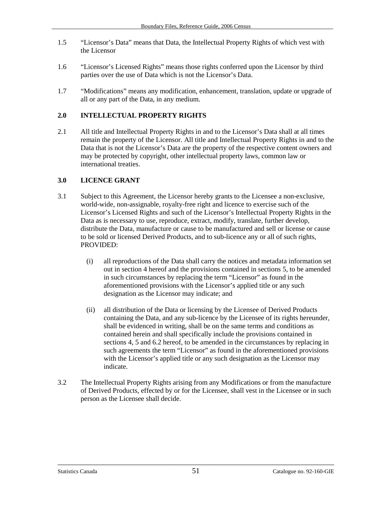- 1.5 "Licensor's Data" means that Data, the Intellectual Property Rights of which vest with the Licensor
- 1.6 "Licensor's Licensed Rights" means those rights conferred upon the Licensor by third parties over the use of Data which is not the Licensor's Data.
- 1.7 "Modifications" means any modification, enhancement, translation, update or upgrade of all or any part of the Data, in any medium.

#### **2.0 INTELLECTUAL PROPERTY RIGHTS**

2.1 All title and Intellectual Property Rights in and to the Licensor's Data shall at all times remain the property of the Licensor. All title and Intellectual Property Rights in and to the Data that is not the Licensor's Data are the property of the respective content owners and may be protected by copyright, other intellectual property laws, common law or international treaties.

#### **3.0 LICENCE GRANT**

- 3.1 Subject to this Agreement, the Licensor hereby grants to the Licensee a non-exclusive, world-wide, non-assignable, royalty-free right and licence to exercise such of the Licensor's Licensed Rights and such of the Licensor's Intellectual Property Rights in the Data as is necessary to use, reproduce, extract, modify, translate, further develop, distribute the Data, manufacture or cause to be manufactured and sell or license or cause to be sold or licensed Derived Products, and to sub-licence any or all of such rights, PROVIDED:
	- (i) all reproductions of the Data shall carry the notices and metadata information set out in section 4 hereof and the provisions contained in sections 5, to be amended in such circumstances by replacing the term "Licensor" as found in the aforementioned provisions with the Licensor's applied title or any such designation as the Licensor may indicate; and
	- (ii) all distribution of the Data or licensing by the Licensee of Derived Products containing the Data, and any sub-licence by the Licensee of its rights hereunder, shall be evidenced in writing, shall be on the same terms and conditions as contained herein and shall specifically include the provisions contained in sections 4, 5 and 6.2 hereof, to be amended in the circumstances by replacing in such agreements the term "Licensor" as found in the aforementioned provisions with the Licensor's applied title or any such designation as the Licensor may indicate.
- 3.2 The Intellectual Property Rights arising from any Modifications or from the manufacture of Derived Products, effected by or for the Licensee, shall vest in the Licensee or in such person as the Licensee shall decide.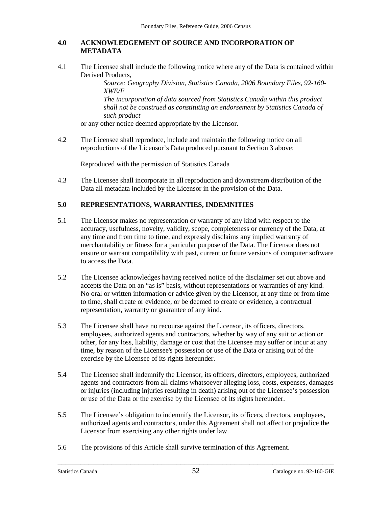#### **4.0 ACKNOWLEDGEMENT OF SOURCE AND INCORPORATION OF METADATA**

4.1 The Licensee shall include the following notice where any of the Data is contained within Derived Products,

*Source: Geography Division, Statistics Canada, 2006 Boundary Files, 92-160- XWE/F* 

*The incorporation of data sourced from Statistics Canada within this product shall not be construed as constituting an endorsement by Statistics Canada of such product* 

or any other notice deemed appropriate by the Licensor.

4.2 The Licensee shall reproduce, include and maintain the following notice on all reproductions of the Licensor's Data produced pursuant to Section 3 above:

Reproduced with the permission of Statistics Canada

4.3 The Licensee shall incorporate in all reproduction and downstream distribution of the Data all metadata included by the Licensor in the provision of the Data.

#### **5.0 REPRESENTATIONS, WARRANTIES, INDEMNITIES**

- 5.1 The Licensor makes no representation or warranty of any kind with respect to the accuracy, usefulness, novelty, validity, scope, completeness or currency of the Data, at any time and from time to time, and expressly disclaims any implied warranty of merchantability or fitness for a particular purpose of the Data. The Licensor does not ensure or warrant compatibility with past, current or future versions of computer software to access the Data.
- 5.2 The Licensee acknowledges having received notice of the disclaimer set out above and accepts the Data on an "as is" basis, without representations or warranties of any kind. No oral or written information or advice given by the Licensor, at any time or from time to time, shall create or evidence, or be deemed to create or evidence, a contractual representation, warranty or guarantee of any kind.
- 5.3 The Licensee shall have no recourse against the Licensor, its officers, directors, employees, authorized agents and contractors, whether by way of any suit or action or other, for any loss, liability, damage or cost that the Licensee may suffer or incur at any time, by reason of the Licensee's possession or use of the Data or arising out of the exercise by the Licensee of its rights hereunder.
- 5.4 The Licensee shall indemnify the Licensor, its officers, directors, employees, authorized agents and contractors from all claims whatsoever alleging loss, costs, expenses, damages or injuries (including injuries resulting in death) arising out of the Licensee's possession or use of the Data or the exercise by the Licensee of its rights hereunder.
- 5.5 The Licensee's obligation to indemnify the Licensor, its officers, directors, employees, authorized agents and contractors, under this Agreement shall not affect or prejudice the Licensor from exercising any other rights under law.
- 5.6 The provisions of this Article shall survive termination of this Agreement.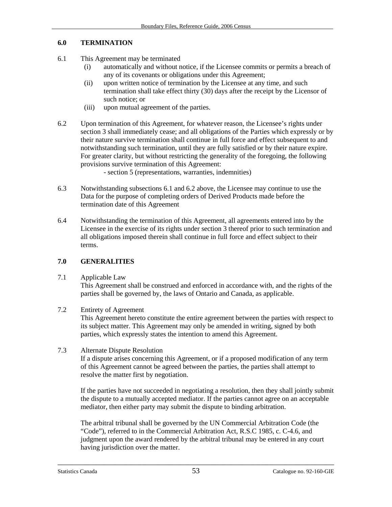### **6.0 TERMINATION**

- 6.1 This Agreement may be terminated
	- (i) automatically and without notice, if the Licensee commits or permits a breach of any of its covenants or obligations under this Agreement;
	- (ii) upon written notice of termination by the Licensee at any time, and such termination shall take effect thirty (30) days after the receipt by the Licensor of such notice; or
	- (iii) upon mutual agreement of the parties.
- 6.2 Upon termination of this Agreement, for whatever reason, the Licensee's rights under section 3 shall immediately cease; and all obligations of the Parties which expressly or by their nature survive termination shall continue in full force and effect subsequent to and notwithstanding such termination, until they are fully satisfied or by their nature expire. For greater clarity, but without restricting the generality of the foregoing, the following provisions survive termination of this Agreement:

- section 5 (representations, warranties, indemnities)

- 6.3 Notwithstanding subsections 6.1 and 6.2 above, the Licensee may continue to use the Data for the purpose of completing orders of Derived Products made before the termination date of this Agreement
- 6.4 Notwithstanding the termination of this Agreement, all agreements entered into by the Licensee in the exercise of its rights under section 3 thereof prior to such termination and all obligations imposed therein shall continue in full force and effect subject to their terms.

# **7.0 GENERALITIES**

7.1 Applicable Law

This Agreement shall be construed and enforced in accordance with, and the rights of the parties shall be governed by, the laws of Ontario and Canada, as applicable.

### 7.2 Entirety of Agreement

This Agreement hereto constitute the entire agreement between the parties with respect to its subject matter. This Agreement may only be amended in writing, signed by both parties, which expressly states the intention to amend this Agreement.

7.3 Alternate Dispute Resolution

If a dispute arises concerning this Agreement, or if a proposed modification of any term of this Agreement cannot be agreed between the parties, the parties shall attempt to resolve the matter first by negotiation.

If the parties have not succeeded in negotiating a resolution, then they shall jointly submit the dispute to a mutually accepted mediator. If the parties cannot agree on an acceptable mediator, then either party may submit the dispute to binding arbitration.

The arbitral tribunal shall be governed by the UN Commercial Arbitration Code (the "Code"), referred to in the Commercial Arbitration Act, R.S.C 1985, c. C-4.6, and judgment upon the award rendered by the arbitral tribunal may be entered in any court having jurisdiction over the matter.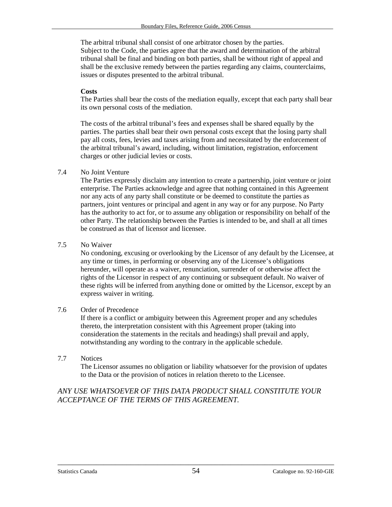The arbitral tribunal shall consist of one arbitrator chosen by the parties. Subject to the Code, the parties agree that the award and determination of the arbitral tribunal shall be final and binding on both parties, shall be without right of appeal and shall be the exclusive remedy between the parties regarding any claims, counterclaims, issues or disputes presented to the arbitral tribunal.

#### **Costs**

The Parties shall bear the costs of the mediation equally, except that each party shall bear its own personal costs of the mediation.

The costs of the arbitral tribunal's fees and expenses shall be shared equally by the parties. The parties shall bear their own personal costs except that the losing party shall pay all costs, fees, levies and taxes arising from and necessitated by the enforcement of the arbitral tribunal's award, including, without limitation, registration, enforcement charges or other judicial levies or costs.

#### 7.4 No Joint Venture

The Parties expressly disclaim any intention to create a partnership, joint venture or joint enterprise. The Parties acknowledge and agree that nothing contained in this Agreement nor any acts of any party shall constitute or be deemed to constitute the parties as partners, joint ventures or principal and agent in any way or for any purpose. No Party has the authority to act for, or to assume any obligation or responsibility on behalf of the other Party. The relationship between the Parties is intended to be, and shall at all times be construed as that of licensor and licensee.

#### 7.5 No Waiver

No condoning, excusing or overlooking by the Licensor of any default by the Licensee, at any time or times, in performing or observing any of the Licensee's obligations hereunder, will operate as a waiver, renunciation, surrender of or otherwise affect the rights of the Licensor in respect of any continuing or subsequent default. No waiver of these rights will be inferred from anything done or omitted by the Licensor, except by an express waiver in writing.

#### 7.6 Order of Precedence

If there is a conflict or ambiguity between this Agreement proper and any schedules thereto, the interpretation consistent with this Agreement proper (taking into consideration the statements in the recitals and headings) shall prevail and apply, notwithstanding any wording to the contrary in the applicable schedule.

#### 7.7 Notices

The Licensor assumes no obligation or liability whatsoever for the provision of updates to the Data or the provision of notices in relation thereto to the Licensee.

### *ANY USE WHATSOEVER OF THIS DATA PRODUCT SHALL CONSTITUTE YOUR ACCEPTANCE OF THE TERMS OF THIS AGREEMENT.*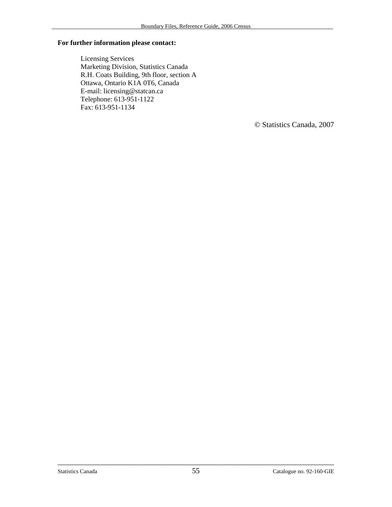#### **For further information please contact:**

Licensing Services Marketing Division, Statistics Canada R.H. Coats Building, 9th floor, section A Ottawa, Ontario K1A 0T6, Canada E-mail: licensing@statcan.ca Telephone: 613-951-1122 Fax: 613-951-1134

© Statistics Canada, 2007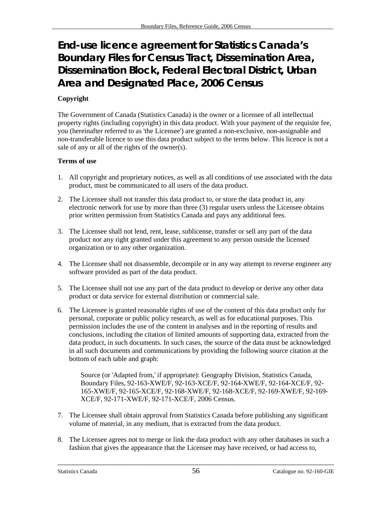# <span id="page-55-0"></span>**End-use licence agreement for Statistics Canada's Boundary Files for Census Tract, Dissemination Area, Dissemination Block, Federal Electoral District, Urban Area and Designated Place, 2006 Census**

### **Copyright**

The Government of Canada (Statistics Canada) is the owner or a licensee of all intellectual property rights (including copyright) in this data product. With your payment of the requisite fee, you (hereinafter referred to as 'the Licensee') are granted a non-exclusive, non-assignable and non-transferable licence to use this data product subject to the terms below. This licence is not a sale of any or all of the rights of the owner(s).

#### **Terms of use**

- 1. All copyright and proprietary notices, as well as all conditions of use associated with the data product, must be communicated to all users of the data product.
- 2. The Licensee shall not transfer this data product to, or store the data product in, any electronic network for use by more than three (3) regular users unless the Licensee obtains prior written permission from Statistics Canada and pays any additional fees.
- 3. The Licensee shall not lend, rent, lease, sublicense, transfer or sell any part of the data product nor any right granted under this agreement to any person outside the licensed organization or to any other organization.
- 4. The Licensee shall not disassemble, decompile or in any way attempt to reverse engineer any software provided as part of the data product.
- 5. The Licensee shall not use any part of the data product to develop or derive any other data product or data service for external distribution or commercial sale.
- 6. The Licensee is granted reasonable rights of use of the content of this data product only for personal, corporate or public policy research, as well as for educational purposes. This permission includes the use of the content in analyses and in the reporting of results and conclusions, including the citation of limited amounts of supporting data, extracted from the data product, in such documents. In such cases, the source of the data must be acknowledged in all such documents and communications by providing the following source citation at the bottom of each table and graph:

Source (or 'Adapted from,' if appropriate): Geography Division, Statistics Canada, Boundary Files, 92-163-XWE/F, 92-163-XCE/F, 92-164-XWE/F, 92-164-XCE/F, 92- 165-XWE/F, 92-165-XCE/F, 92-168-XWE/F, 92-168-XCE/F, 92-169-XWE/F, 92-169- XCE/F, 92-171-XWE/F, 92-171-XCE/F, 2006 Census.

- 7. The Licensee shall obtain approval from Statistics Canada before publishing any significant volume of material, in any medium, that is extracted from the data product.
- 8. The Licensee agrees not to merge or link the data product with any other databases in such a fashion that gives the appearance that the Licensee may have received, or had access to,